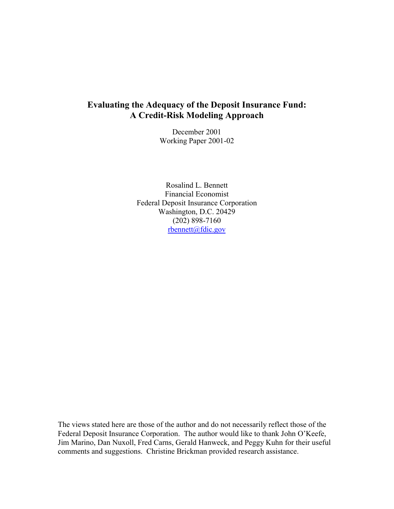# **Evaluating the Adequacy of the Deposit Insurance Fund: A Credit-Risk Modeling Approach**

December 2001 Working Paper 2001-02

Rosalind L. Bennett Financial Economist Federal Deposit Insurance Corporation Washington, D.C. 20429 (202) 898-7160  $r$ bennett@fdic.gov

The views stated here are those of the author and do not necessarily reflect those of the Federal Deposit Insurance Corporation. The author would like to thank John O'Keefe, Jim Marino, Dan Nuxoll, Fred Carns, Gerald Hanweck, and Peggy Kuhn for their useful comments and suggestions. Christine Brickman provided research assistance.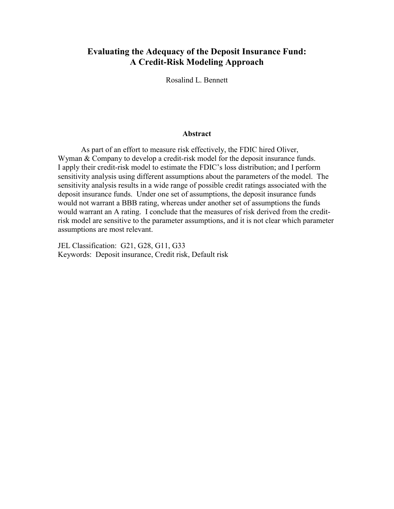# **Evaluating the Adequacy of the Deposit Insurance Fund: A Credit-Risk Modeling Approach**

Rosalind L. Bennett

### **Abstract**

 would warrant an A rating. I conclude that the measures of risk derived from the credit-As part of an effort to measure risk effectively, the FDIC hired Oliver, Wyman & Company to develop a credit-risk model for the deposit insurance funds. I apply their credit-risk model to estimate the FDIC's loss distribution; and I perform sensitivity analysis using different assumptions about the parameters of the model. The sensitivity analysis results in a wide range of possible credit ratings associated with the deposit insurance funds. Under one set of assumptions, the deposit insurance funds would not warrant a BBB rating, whereas under another set of assumptions the funds risk model are sensitive to the parameter assumptions, and it is not clear which parameter assumptions are most relevant.

JEL Classification: G21, G28, G11, G33 Keywords: Deposit insurance, Credit risk, Default risk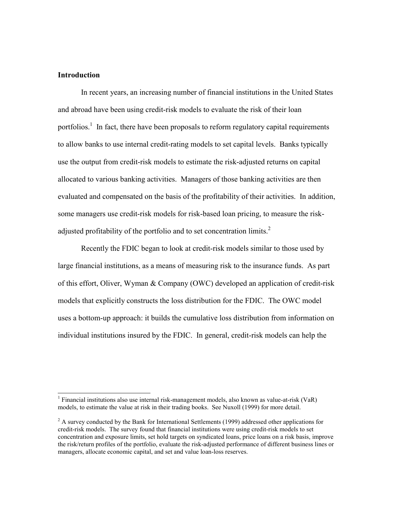# **Introduction**

 $\overline{a}$ 

portfolios.<sup>1</sup> In fact, there have been proposals to reform regulatory capital requirements In recent years, an increasing number of financial institutions in the United States and abroad have been using credit-risk models to evaluate the risk of their loan to allow banks to use internal credit-rating models to set capital levels. Banks typically use the output from credit-risk models to estimate the risk-adjusted returns on capital allocated to various banking activities. Managers of those banking activities are then evaluated and compensated on the basis of the profitability of their activities. In addition, some managers use credit-risk models for risk-based loan pricing, to measure the riskadjusted profitability of the portfolio and to set concentration limits.<sup>2</sup>

Recently the FDIC began to look at credit-risk models similar to those used by large financial institutions, as a means of measuring risk to the insurance funds. As part of this effort, Oliver, Wyman & Company (OWC) developed an application of credit-risk models that explicitly constructs the loss distribution for the FDIC. The OWC model uses a bottom-up approach: it builds the cumulative loss distribution from information on individual institutions insured by the FDIC. In general, credit-risk models can help the

<sup>&</sup>lt;sup>1</sup> Financial institutions also use internal risk-management models, also known as value-at-risk (VaR) models, to estimate the value at risk in their trading books. See Nuxoll (1999) for more detail.

 $2^2$  A survey conducted by the Bank for International Settlements (1999) addressed other applications for credit-risk models. The survey found that financial institutions were using credit-risk models to set concentration and exposure limits, set hold targets on syndicated loans, price loans on a risk basis, improve the risk/return profiles of the portfolio, evaluate the risk-adjusted performance of different business lines or managers, allocate economic capital, and set and value loan-loss reserves.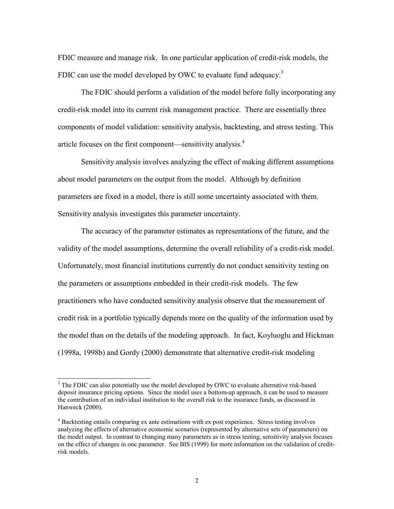FDIC measure and manage risk. In one particular application of credit-risk models, the FDIC can use the model developed by OWC to evaluate fund adequacy.<sup>3</sup>

The FDIC should perform a validation of the model before fully incorporating any credit-risk model into its current risk management practice. There are essentially three components of model validation: sensitivity analysis, backtesting, and stress testing. This article focuses on the first component—sensitivity analysis.<sup>4</sup>

Sensitivity analysis involves analyzing the effect of making different assumptions about model parameters on the output from the model. Although by definition parameters are fixed in a model, there is still some uncertainty associated with them. Sensitivity analysis investigates this parameter uncertainty.

The accuracy of the parameter estimates as representations of the future, and the validity of the model assumptions, determine the overall reliability of a credit-risk model. Unfortunately, most financial institutions currently do not conduct sensitivity testing on the parameters or assumptions embedded in their credit-risk models. The few practitioners who have conducted sensitivity analysis observe that the measurement of credit risk in a portfolio typically depends more on the quality of the information used by the model than on the details of the modeling approach. In fact, Koyluoglu and Hickman (1998a, 1998b) and Gordy (2000) demonstrate that alternative credit-risk modeling

 $\overline{a}$ 

 $3$  The FDIC can also potentially use the model developed by OWC to evaluate alternative risk-based deposit insurance pricing options. Since the model uses a bottom-up approach, it can be used to measure the contribution of an individual institution to the overall risk to the insurance funds, as discussed in Hanweck (2000).

<sup>&</sup>lt;sup>4</sup> Backtesting entails comparing ex ante estimations with ex post experience. Stress testing involves analyzing the effects of alternative economic scenarios (represented by alternative sets of parameters) on the model output. In contrast to changing many parameters as in stress testing, sensitivity analysis focuses on the effect of changes in one parameter. See BIS (1999) for more information on the validation of creditrisk models.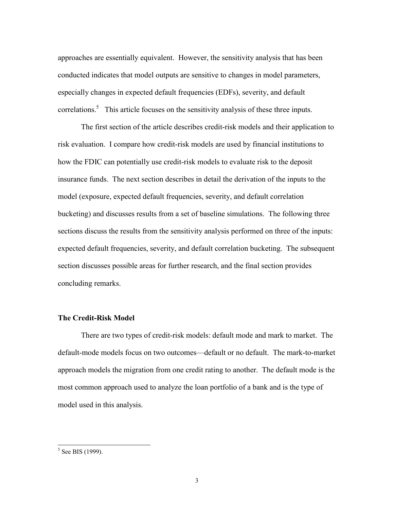approaches are essentially equivalent. However, the sensitivity analysis that has been conducted indicates that model outputs are sensitive to changes in model parameters, especially changes in expected default frequencies (EDFs), severity, and default correlations.<sup>5</sup> This article focuses on the sensitivity analysis of these three inputs.

The first section of the article describes credit-risk models and their application to risk evaluation. I compare how credit-risk models are used by financial institutions to how the FDIC can potentially use credit-risk models to evaluate risk to the deposit insurance funds. The next section describes in detail the derivation of the inputs to the model (exposure, expected default frequencies, severity, and default correlation bucketing) and discusses results from a set of baseline simulations. The following three sections discuss the results from the sensitivity analysis performed on three of the inputs: expected default frequencies, severity, and default correlation bucketing. The subsequent section discusses possible areas for further research, and the final section provides concluding remarks.

# **The Credit-Risk Model**

There are two types of credit-risk models: default mode and mark to market. The default-mode models focus on two outcomes—default or no default. The mark-to-market approach models the migration from one credit rating to another. The default mode is the most common approach used to analyze the loan portfolio of a bank and is the type of model used in this analysis.

 $5$  See BIS (1999).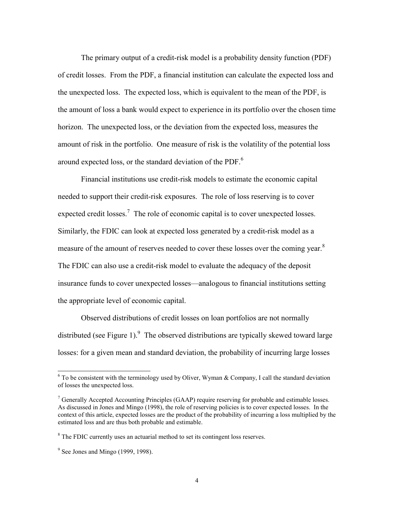The primary output of a credit-risk model is a probability density function (PDF) of credit losses. From the PDF, a financial institution can calculate the expected loss and the unexpected loss. The expected loss, which is equivalent to the mean of the PDF, is the amount of loss a bank would expect to experience in its portfolio over the chosen time horizon. The unexpected loss, or the deviation from the expected loss, measures the amount of risk in the portfolio. One measure of risk is the volatility of the potential loss around expected loss, or the standard deviation of the PDF.<sup>6</sup>

Financial institutions use credit-risk models to estimate the economic capital needed to support their credit-risk exposures. The role of loss reserving is to cover expected credit losses.<sup>7</sup> The role of economic capital is to cover unexpected losses. Similarly, the FDIC can look at expected loss generated by a credit-risk model as a measure of the amount of reserves needed to cover these losses over the coming year.<sup>8</sup> The FDIC can also use a credit-risk model to evaluate the adequacy of the deposit insurance funds to cover unexpected losses—analogous to financial institutions setting the appropriate level of economic capital.

Observed distributions of credit losses on loan portfolios are not normally distributed (see Figure 1). <sup>9</sup> The observed distributions are typically skewed toward large losses: for a given mean and standard deviation, the probability of incurring large losses

 $\overline{a}$ 

 $6$  To be consistent with the terminology used by Oliver, Wyman & Company, I call the standard deviation of losses the unexpected loss.

 $7$  Generally Accepted Accounting Principles (GAAP) require reserving for probable and estimable losses. As discussed in Jones and Mingo (1998), the role of reserving policies is to cover expected losses. In the context of this article, expected losses are the product of the probability of incurring a loss multiplied by the estimated loss and are thus both probable and estimable.

<sup>&</sup>lt;sup>8</sup> The FDIC currently uses an actuarial method to set its contingent loss reserves.

 $9^9$  See Jones and Mingo (1999, 1998).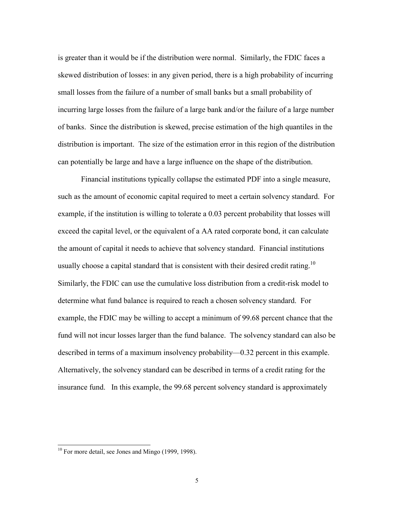is greater than it would be if the distribution were normal. Similarly, the FDIC faces a skewed distribution of losses: in any given period, there is a high probability of incurring small losses from the failure of a number of small banks but a small probability of incurring large losses from the failure of a large bank and/or the failure of a large number of banks. Since the distribution is skewed, precise estimation of the high quantiles in the distribution is important. The size of the estimation error in this region of the distribution can potentially be large and have a large influence on the shape of the distribution.

 Similarly, the FDIC can use the cumulative loss distribution from a credit-risk model to Financial institutions typically collapse the estimated PDF into a single measure, such as the amount of economic capital required to meet a certain solvency standard. For example, if the institution is willing to tolerate a 0.03 percent probability that losses will exceed the capital level, or the equivalent of a AA rated corporate bond, it can calculate the amount of capital it needs to achieve that solvency standard. Financial institutions usually choose a capital standard that is consistent with their desired credit rating.<sup>10</sup> determine what fund balance is required to reach a chosen solvency standard. For example, the FDIC may be willing to accept a minimum of 99.68 percent chance that the fund will not incur losses larger than the fund balance. The solvency standard can also be described in terms of a maximum insolvency probability—0.32 percent in this example. Alternatively, the solvency standard can be described in terms of a credit rating for the insurance fund. In this example, the 99.68 percent solvency standard is approximately

 $\overline{\phantom{a}}$ 

 $10$  For more detail, see Jones and Mingo (1999, 1998).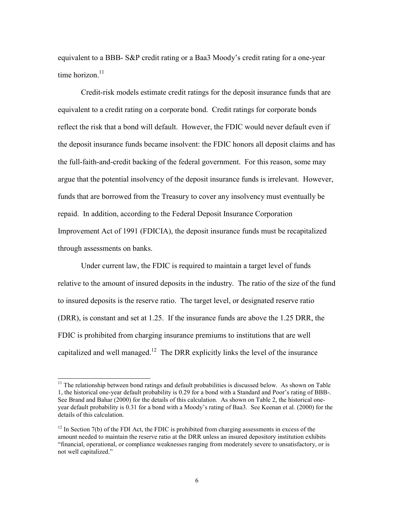equivalent to a BBB- S&P credit rating or a Baa3 Moody's credit rating for a one-year time horizon<sup>11</sup>

Credit-risk models estimate credit ratings for the deposit insurance funds that are equivalent to a credit rating on a corporate bond. Credit ratings for corporate bonds reflect the risk that a bond will default. However, the FDIC would never default even if the deposit insurance funds became insolvent: the FDIC honors all deposit claims and has the full-faith-and-credit backing of the federal government. For this reason, some may argue that the potential insolvency of the deposit insurance funds is irrelevant. However, funds that are borrowed from the Treasury to cover any insolvency must eventually be repaid. In addition, according to the Federal Deposit Insurance Corporation Improvement Act of 1991 (FDICIA), the deposit insurance funds must be recapitalized through assessments on banks.

Under current law, the FDIC is required to maintain a target level of funds relative to the amount of insured deposits in the industry. The ratio of the size of the fund to insured deposits is the reserve ratio. The target level, or designated reserve ratio (DRR), is constant and set at 1.25. If the insurance funds are above the 1.25 DRR, the FDIC is prohibited from charging insurance premiums to institutions that are well capitalized and well managed.<sup>12</sup> The DRR explicitly links the level of the insurance

 $\overline{\phantom{a}}$ 

 $11$  The relationship between bond ratings and default probabilities is discussed below. As shown on Table See Brand and Bahar (2000) for the details of this calculation. As shown on Table 2, the historical one-1, the historical one-year default probability is 0.29 for a bond with a Standard and Poor's rating of BBB-. year default probability is 0.31 for a bond with a Moody's rating of Baa3. See Keenan et al. (2000) for the details of this calculation.

 "financial, operational, or compliance weaknesses ranging from moderately severe to unsatisfactory, or is  $12$  In Section 7(b) of the FDI Act, the FDIC is prohibited from charging assessments in excess of the amount needed to maintain the reserve ratio at the DRR unless an insured depository institution exhibits not well capitalized."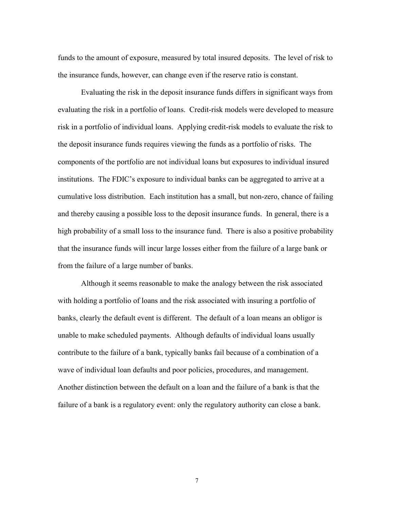funds to the amount of exposure, measured by total insured deposits. The level of risk to the insurance funds, however, can change even if the reserve ratio is constant.

Evaluating the risk in the deposit insurance funds differs in significant ways from evaluating the risk in a portfolio of loans. Credit-risk models were developed to measure risk in a portfolio of individual loans. Applying credit-risk models to evaluate the risk to the deposit insurance funds requires viewing the funds as a portfolio of risks. The components of the portfolio are not individual loans but exposures to individual insured institutions. The FDIC's exposure to individual banks can be aggregated to arrive at a cumulative loss distribution. Each institution has a small, but non-zero, chance of failing and thereby causing a possible loss to the deposit insurance funds. In general, there is a high probability of a small loss to the insurance fund. There is also a positive probability that the insurance funds will incur large losses either from the failure of a large bank or from the failure of a large number of banks.

 failure of a bank is a regulatory event: only the regulatory authority can close a bank. Although it seems reasonable to make the analogy between the risk associated with holding a portfolio of loans and the risk associated with insuring a portfolio of banks, clearly the default event is different. The default of a loan means an obligor is unable to make scheduled payments. Although defaults of individual loans usually contribute to the failure of a bank, typically banks fail because of a combination of a wave of individual loan defaults and poor policies, procedures, and management. Another distinction between the default on a loan and the failure of a bank is that the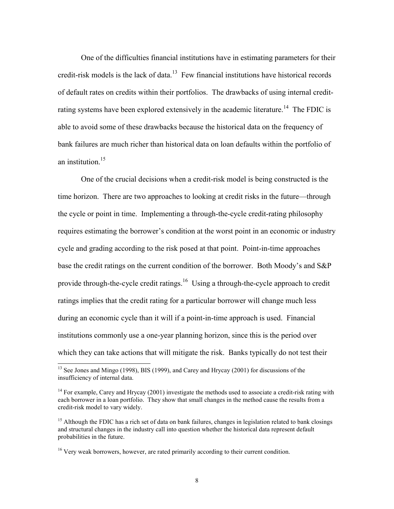One of the difficulties financial institutions have in estimating parameters for their credit-risk models is the lack of data.<sup>13</sup> Few financial institutions have historical records of default rates on credits within their portfolios. The drawbacks of using internal creditrating systems have been explored extensively in the academic literature.<sup>14</sup> The FDIC is able to avoid some of these drawbacks because the historical data on the frequency of bank failures are much richer than historical data on loan defaults within the portfolio of an institution  $15$ 

One of the crucial decisions when a credit-risk model is being constructed is the time horizon. There are two approaches to looking at credit risks in the future—through the cycle or point in time. Implementing a through-the-cycle credit-rating philosophy requires estimating the borrower's condition at the worst point in an economic or industry cycle and grading according to the risk posed at that point. Point-in-time approaches base the credit ratings on the current condition of the borrower. Both Moody's and S&P provide through-the-cycle credit ratings.<sup>16</sup> Using a through-the-cycle approach to credit ratings implies that the credit rating for a particular borrower will change much less during an economic cycle than it will if a point-in-time approach is used. Financial institutions commonly use a one-year planning horizon, since this is the period over which they can take actions that will mitigate the risk. Banks typically do not test their

 $\overline{a}$ 

<sup>&</sup>lt;sup>13</sup> See Jones and Mingo (1998), BIS (1999), and Carey and Hrycay (2001) for discussions of the insufficiency of internal data.

 $14$  For example, Carey and Hrycay (2001) investigate the methods used to associate a credit-risk rating with each borrower in a loan portfolio. They show that small changes in the method cause the results from a credit-risk model to vary widely.

<sup>&</sup>lt;sup>15</sup> Although the FDIC has a rich set of data on bank failures, changes in legislation related to bank closings and structural changes in the industry call into question whether the historical data represent default probabilities in the future.

 $16$  Very weak borrowers, however, are rated primarily according to their current condition.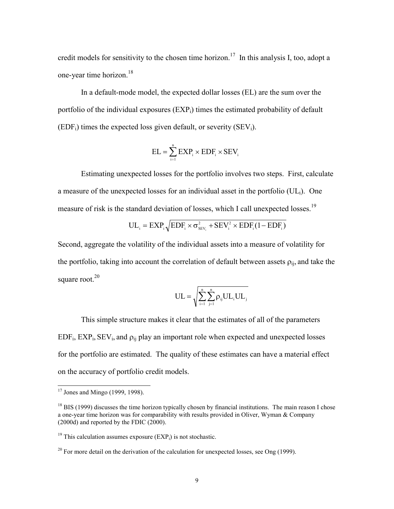credit models for sensitivity to the chosen time horizon.<sup>17</sup> In this analysis I, too, adopt a one-year time horizon.<sup>18</sup>

In a default-mode model, the expected dollar losses (EL) are the sum over the portfolio of the individual exposures  $(EXP<sub>i</sub>)$  times the estimated probability of default  $(EDF_i)$  times the expected loss given default, or severity  $(SEV_i)$ .

$$
EL = \sum_{i=1}^{n} EXP_i \times EDF_i \times SEV_i
$$

Estimating unexpected losses for the portfolio involves two steps. First, calculate a measure of the unexpected losses for an individual asset in the portfolio  $(UL_i)$ . One measure of risk is the standard deviation of losses, which I call unexpected losses.<sup>19</sup>

$$
UL_i = EXP_i \sqrt{EDF_i \times \sigma_{SEV_i}^2 + SEV_i^2 \times EDF_i (1 - EDF_i)}
$$

Second, aggregate the volatility of the individual assets into a measure of volatility for the portfolio, taking into account the correlation of default between assets  $\rho_{ii}$ , and take the square root.<sup>20</sup>

$$
UL=\sqrt{\sum_{i=1}^n\sum_{j=1}^n\rho_{ij}UL_iUL_j}
$$

 $EDF_i, EXP_i, SEV_i, and p_{ij}$  play an important role when expected and unexpected losses This simple structure makes it clear that the estimates of all of the parameters for the portfolio are estimated. The quality of these estimates can have a material effect on the accuracy of portfolio credit models.

l

 $17$  Jones and Mingo (1999, 1998).

 a one-year time horizon was for comparability with results provided in Oliver, Wyman & Company  $^{18}$  BIS (1999) discusses the time horizon typically chosen by financial institutions. The main reason I chose (2000d) and reported by the FDIC (2000).

 $19$  This calculation assumes exposure (EXP<sub>i</sub>) is not stochastic.

 $^{20}$  For more detail on the derivation of the calculation for unexpected losses, see Ong (1999).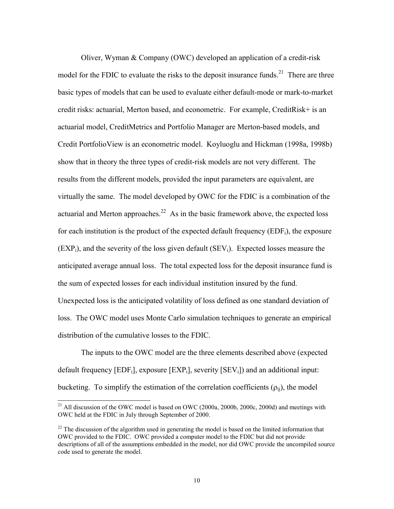Oliver, Wyman & Company (OWC) developed an application of a credit-risk model for the FDIC to evaluate the risks to the deposit insurance funds.<sup>21</sup> There are three basic types of models that can be used to evaluate either default-mode or mark-to-market credit risks: actuarial, Merton based, and econometric. For example, CreditRisk+ is an actuarial model, CreditMetrics and Portfolio Manager are Merton-based models, and Credit PortfolioView is an econometric model. Koyluoglu and Hickman (1998a, 1998b) show that in theory the three types of credit-risk models are not very different. The results from the different models, provided the input parameters are equivalent, are virtually the same. The model developed by OWC for the FDIC is a combination of the actuarial and Merton approaches.<sup>22</sup> As in the basic framework above, the expected loss for each institution is the product of the expected default frequency  $(EDF_i)$ , the exposure  $(EXP<sub>i</sub>)$ , and the severity of the loss given default  $(SEV<sub>i</sub>)$ . Expected losses measure the anticipated average annual loss. The total expected loss for the deposit insurance fund is the sum of expected losses for each individual institution insured by the fund. Unexpected loss is the anticipated volatility of loss defined as one standard deviation of loss. The OWC model uses Monte Carlo simulation techniques to generate an empirical distribution of the cumulative losses to the FDIC.

The inputs to the OWC model are the three elements described above (expected default frequency  $[EDF_i]$ , exposure  $[EXP_i]$ , severity  $[SEV_i]$ ) and an additional input: bucketing. To simplify the estimation of the correlation coefficients  $(\rho_{ii})$ , the model

 $\overline{\phantom{a}}$ 

<sup>&</sup>lt;sup>21</sup> All discussion of the OWC model is based on OWC (2000a, 2000b, 2000c, 2000d) and meetings with OWC held at the FDIC in July through September of 2000.

<sup>&</sup>lt;sup>22</sup> The discussion of the algorithm used in generating the model is based on the limited information that OWC provided to the FDIC. OWC provided a computer model to the FDIC but did not provide descriptions of all of the assumptions embedded in the model, nor did OWC provide the uncompiled source code used to generate the model.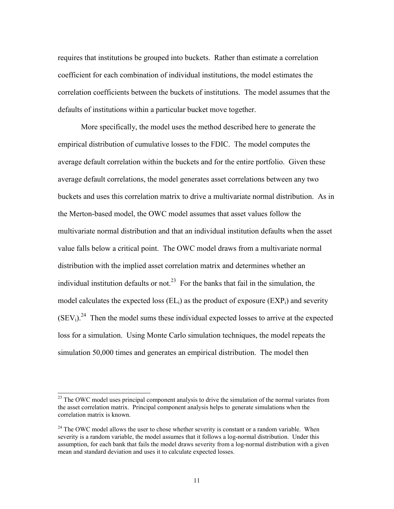requires that institutions be grouped into buckets. Rather than estimate a correlation coefficient for each combination of individual institutions, the model estimates the correlation coefficients between the buckets of institutions. The model assumes that the defaults of institutions within a particular bucket move together.

More specifically, the model uses the method described here to generate the empirical distribution of cumulative losses to the FDIC. The model computes the average default correlation within the buckets and for the entire portfolio. Given these average default correlations, the model generates asset correlations between any two buckets and uses this correlation matrix to drive a multivariate normal distribution. As in the Merton-based model, the OWC model assumes that asset values follow the multivariate normal distribution and that an individual institution defaults when the asset value falls below a critical point. The OWC model draws from a multivariate normal distribution with the implied asset correlation matrix and determines whether an individual institution defaults or not.<sup>23</sup> For the banks that fail in the simulation, the model calculates the expected loss  $(E<sub>L<sub>i</sub></sub>)$  as the product of exposure  $(E<sub>L<sub>i</sub></sub>)$  and severity  $(SEV<sub>i</sub>)<sup>24</sup>$  Then the model sums these individual expected losses to arrive at the expected loss for a simulation. Using Monte Carlo simulation techniques, the model repeats the simulation 50,000 times and generates an empirical distribution. The model then

 $\overline{a}$ 

<sup>&</sup>lt;sup>23</sup> The OWC model uses principal component analysis to drive the simulation of the normal variates from the asset correlation matrix. Principal component analysis helps to generate simulations when the correlation matrix is known.

<sup>&</sup>lt;sup>24</sup> The OWC model allows the user to chose whether severity is constant or a random variable. When severity is a random variable, the model assumes that it follows a log-normal distribution. Under this assumption, for each bank that fails the model draws severity from a log-normal distribution with a given mean and standard deviation and uses it to calculate expected losses.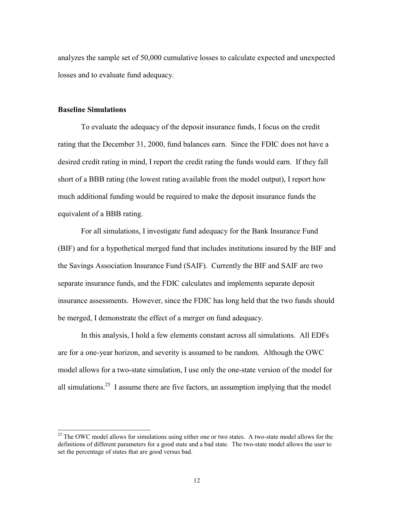analyzes the sample set of 50,000 cumulative losses to calculate expected and unexpected losses and to evaluate fund adequacy.

# **Baseline Simulations**

l

To evaluate the adequacy of the deposit insurance funds, I focus on the credit rating that the December 31, 2000, fund balances earn. Since the FDIC does not have a desired credit rating in mind, I report the credit rating the funds would earn. If they fall short of a BBB rating (the lowest rating available from the model output), I report how much additional funding would be required to make the deposit insurance funds the equivalent of a BBB rating.

 (BIF) and for a hypothetical merged fund that includes institutions insured by the BIF and For all simulations, I investigate fund adequacy for the Bank Insurance Fund the Savings Association Insurance Fund (SAIF). Currently the BIF and SAIF are two separate insurance funds, and the FDIC calculates and implements separate deposit insurance assessments. However, since the FDIC has long held that the two funds should be merged, I demonstrate the effect of a merger on fund adequacy.

 In this analysis, I hold a few elements constant across all simulations. All EDFs all simulations.<sup>25</sup> I assume there are five factors, an assumption implying that the model are for a one-year horizon, and severity is assumed to be random. Although the OWC model allows for a two-state simulation, I use only the one-state version of the model for

 $25$  The OWC model allows for simulations using either one or two states. A two-state model allows for the definitions of different parameters for a good state and a bad state. The two-state model allows the user to set the percentage of states that are good versus bad.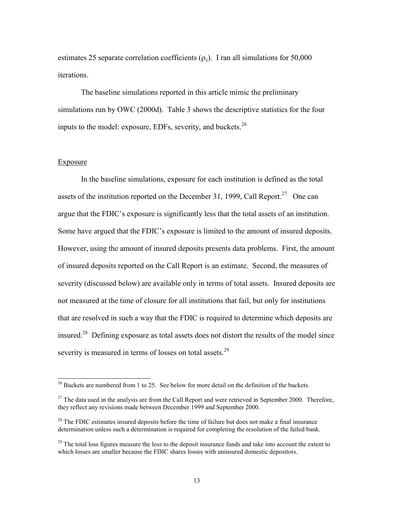estimates 25 separate correlation coefficients  $(\rho_{ii})$ . I ran all simulations for 50,000 iterations.

The baseline simulations reported in this article mimic the preliminary simulations run by OWC (2000d). Table 3 shows the descriptive statistics for the four inputs to the model: exposure, EDFs, severity, and buckets.<sup>26</sup>

#### **Exposure**

 $\overline{\phantom{a}}$ 

 argue that the FDIC's exposure is significantly less that the total assets of an institution. that are resolved in such a way that the FDIC is required to determine which deposits are In the baseline simulations, exposure for each institution is defined as the total assets of the institution reported on the December 31, 1999, Call Report.<sup>27</sup> One can Some have argued that the FDIC's exposure is limited to the amount of insured deposits. However, using the amount of insured deposits presents data problems. First, the amount of insured deposits reported on the Call Report is an estimate. Second, the measures of severity (discussed below) are available only in terms of total assets. Insured deposits are not measured at the time of closure for all institutions that fail, but only for institutions insured.28 Defining exposure as total assets does not distort the results of the model since severity is measured in terms of losses on total assets.<sup>29</sup>

 $26$  Buckets are numbered from 1 to 25. See below for more detail on the definition of the buckets.

 $27$  The data used in the analysis are from the Call Report and were retrieved in September 2000. Therefore, they reflect any revisions made between December 1999 and September 2000.

 $^{28}$  The FDIC estimates insured deposits before the time of failure but does not make a final insurance determination unless such a determination is required for completing the resolution of the failed bank.

 which losses are smaller because the FDIC shares losses with uninsured domestic depositors.  $29$  The total loss figures measure the loss to the deposit insurance funds and take into account the extent to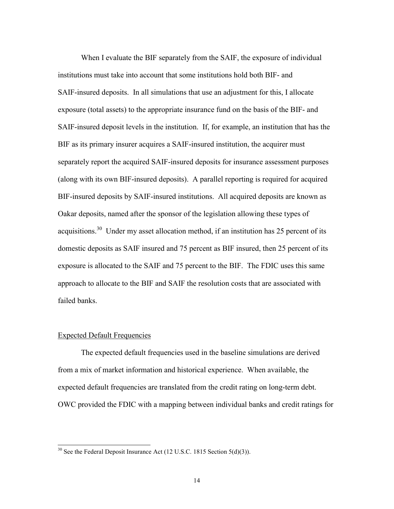When I evaluate the BIF separately from the SAIF, the exposure of individual institutions must take into account that some institutions hold both BIF- and SAIF-insured deposits. In all simulations that use an adjustment for this, I allocate exposure (total assets) to the appropriate insurance fund on the basis of the BIF- and SAIF-insured deposit levels in the institution. If, for example, an institution that has the BIF as its primary insurer acquires a SAIF-insured institution, the acquirer must separately report the acquired SAIF-insured deposits for insurance assessment purposes (along with its own BIF-insured deposits). A parallel reporting is required for acquired BIF-insured deposits by SAIF-insured institutions. All acquired deposits are known as Oakar deposits, named after the sponsor of the legislation allowing these types of acquisitions.<sup>30</sup> Under my asset allocation method, if an institution has 25 percent of its domestic deposits as SAIF insured and 75 percent as BIF insured, then 25 percent of its exposure is allocated to the SAIF and 75 percent to the BIF. The FDIC uses this same approach to allocate to the BIF and SAIF the resolution costs that are associated with failed banks.

## Expected Default Frequencies

 $\overline{\phantom{a}}$ 

The expected default frequencies used in the baseline simulations are derived from a mix of market information and historical experience. When available, the expected default frequencies are translated from the credit rating on long-term debt. OWC provided the FDIC with a mapping between individual banks and credit ratings for

<sup>&</sup>lt;sup>30</sup> See the Federal Deposit Insurance Act (12 U.S.C. 1815 Section 5(d)(3)).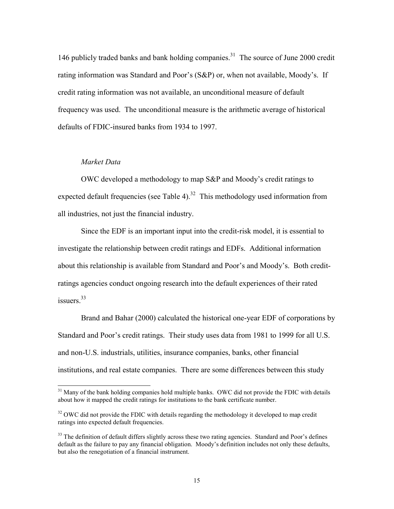146 publicly traded banks and bank holding companies.<sup>31</sup> The source of June 2000 credit rating information was Standard and Poor's (S&P) or, when not available, Moody's. If credit rating information was not available, an unconditional measure of default frequency was used. The unconditional measure is the arithmetic average of historical defaults of FDIC-insured banks from 1934 to 1997.

## *Market Data*

l

OWC developed a methodology to map S&P and Moody's credit ratings to expected default frequencies (see Table 4).<sup>32</sup> This methodology used information from all industries, not just the financial industry.

Since the EDF is an important input into the credit-risk model, it is essential to investigate the relationship between credit ratings and EDFs. Additional information about this relationship is available from Standard and Poor's and Moody's. Both creditratings agencies conduct ongoing research into the default experiences of their rated issuers $33$ 

Brand and Bahar (2000) calculated the historical one-year EDF of corporations by Standard and Poor's credit ratings. Their study uses data from 1981 to 1999 for all U.S. and non-U.S. industrials, utilities, insurance companies, banks, other financial institutions, and real estate companies. There are some differences between this study

 $31$  Many of the bank holding companies hold multiple banks. OWC did not provide the FDIC with details about how it mapped the credit ratings for institutions to the bank certificate number.

 $32$  OWC did not provide the FDIC with details regarding the methodology it developed to map credit ratings into expected default frequencies.

<sup>&</sup>lt;sup>33</sup> The definition of default differs slightly across these two rating agencies. Standard and Poor's defines default as the failure to pay any financial obligation. Moody's definition includes not only these defaults, but also the renegotiation of a financial instrument.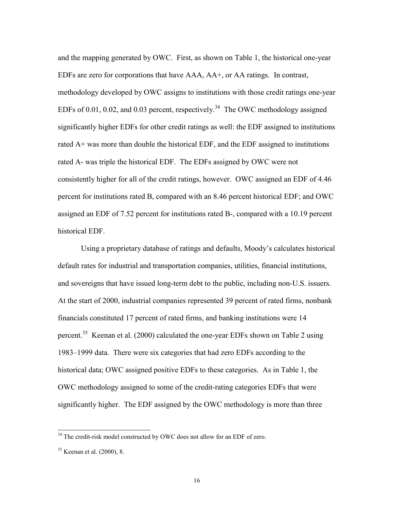significantly higher EDFs for other credit ratings as well: the EDF assigned to institutions and the mapping generated by OWC. First, as shown on Table 1, the historical one-year EDFs are zero for corporations that have AAA, AA+, or AA ratings. In contrast, methodology developed by OWC assigns to institutions with those credit ratings one-year EDFs of 0.01, 0.02, and 0.03 percent, respectively.<sup>34</sup> The OWC methodology assigned rated A+ was more than double the historical EDF, and the EDF assigned to institutions rated A- was triple the historical EDF. The EDFs assigned by OWC were not consistently higher for all of the credit ratings, however. OWC assigned an EDF of 4.46 percent for institutions rated B, compared with an 8.46 percent historical EDF; and OWC assigned an EDF of 7.52 percent for institutions rated B-, compared with a 10.19 percent historical EDF.

Using a proprietary database of ratings and defaults, Moody's calculates historical default rates for industrial and transportation companies, utilities, financial institutions, and sovereigns that have issued long-term debt to the public, including non-U.S. issuers. At the start of 2000, industrial companies represented 39 percent of rated firms, nonbank financials constituted 17 percent of rated firms, and banking institutions were 14 percent.35 Keenan et al. (2000) calculated the one-year EDFs shown on Table 2 using 1983–1999 data. There were six categories that had zero EDFs according to the historical data; OWC assigned positive EDFs to these categories. As in Table 1, the OWC methodology assigned to some of the credit-rating categories EDFs that were significantly higher. The EDF assigned by the OWC methodology is more than three

l

 $34$  The credit-risk model constructed by OWC does not allow for an EDF of zero.

<sup>35</sup> Keenan et al. (2000), 8.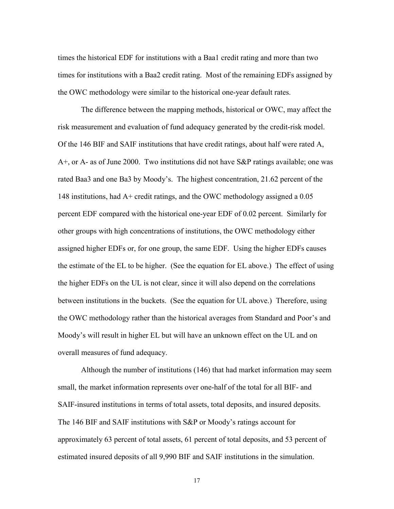times the historical EDF for institutions with a Baa1 credit rating and more than two times for institutions with a Baa2 credit rating. Most of the remaining EDFs assigned by the OWC methodology were similar to the historical one-year default rates.

The difference between the mapping methods, historical or OWC, may affect the risk measurement and evaluation of fund adequacy generated by the credit-risk model. Of the 146 BIF and SAIF institutions that have credit ratings, about half were rated A, A+, or A- as of June 2000. Two institutions did not have S&P ratings available; one was rated Baa3 and one Ba3 by Moody's. The highest concentration, 21.62 percent of the 148 institutions, had A+ credit ratings, and the OWC methodology assigned a 0.05 percent EDF compared with the historical one-year EDF of 0.02 percent. Similarly for other groups with high concentrations of institutions, the OWC methodology either assigned higher EDFs or, for one group, the same EDF. Using the higher EDFs causes the estimate of the EL to be higher. (See the equation for EL above.) The effect of using the higher EDFs on the UL is not clear, since it will also depend on the correlations between institutions in the buckets. (See the equation for UL above.) Therefore, using the OWC methodology rather than the historical averages from Standard and Poor's and Moody's will result in higher EL but will have an unknown effect on the UL and on overall measures of fund adequacy.

Although the number of institutions (146) that had market information may seem small, the market information represents over one-half of the total for all BIF- and SAIF-insured institutions in terms of total assets, total deposits, and insured deposits. The 146 BIF and SAIF institutions with S&P or Moody's ratings account for approximately 63 percent of total assets, 61 percent of total deposits, and 53 percent of estimated insured deposits of all 9,990 BIF and SAIF institutions in the simulation.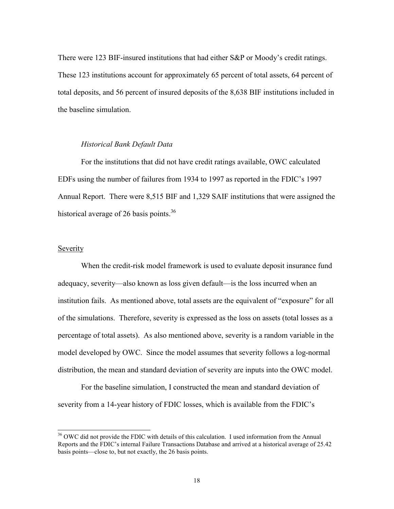There were 123 BIF-insured institutions that had either S&P or Moody's credit ratings. These 123 institutions account for approximately 65 percent of total assets, 64 percent of total deposits, and 56 percent of insured deposits of the 8,638 BIF institutions included in the baseline simulation.

## *Historical Bank Default Data*

For the institutions that did not have credit ratings available, OWC calculated EDFs using the number of failures from 1934 to 1997 as reported in the FDIC's 1997 Annual Report. There were 8,515 BIF and 1,329 SAIF institutions that were assigned the historical average of 26 basis points.<sup>36</sup>

# Severity

l

When the credit-risk model framework is used to evaluate deposit insurance fund adequacy, severity—also known as loss given default—is the loss incurred when an institution fails. As mentioned above, total assets are the equivalent of "exposure" for all of the simulations. Therefore, severity is expressed as the loss on assets (total losses as a percentage of total assets). As also mentioned above, severity is a random variable in the model developed by OWC. Since the model assumes that severity follows a log-normal distribution, the mean and standard deviation of severity are inputs into the OWC model.

For the baseline simulation, I constructed the mean and standard deviation of severity from a 14-year history of FDIC losses, which is available from the FDIC's

<sup>&</sup>lt;sup>36</sup> OWC did not provide the FDIC with details of this calculation. I used information from the Annual Reports and the FDIC's internal Failure Transactions Database and arrived at a historical average of 25.42 basis points—close to, but not exactly, the 26 basis points.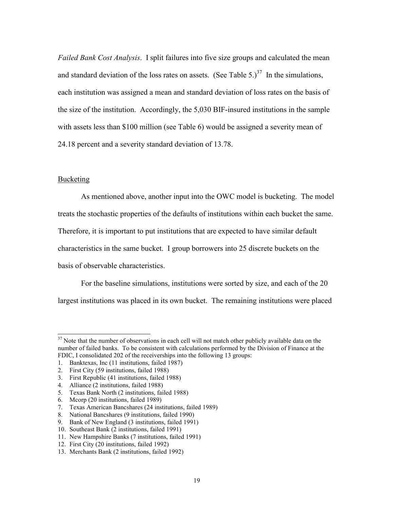and standard deviation of the loss rates on assets. (See Table 5.)<sup>37</sup> In the simulations, *Failed Bank Cost Analysis*. I split failures into five size groups and calculated the mean each institution was assigned a mean and standard deviation of loss rates on the basis of the size of the institution. Accordingly, the 5,030 BIF-insured institutions in the sample with assets less than \$100 million (see Table 6) would be assigned a severity mean of 24.18 percent and a severity standard deviation of 13.78.

# **Bucketing**

 $\overline{\phantom{a}}$ 

As mentioned above, another input into the OWC model is bucketing. The model treats the stochastic properties of the defaults of institutions within each bucket the same. Therefore, it is important to put institutions that are expected to have similar default characteristics in the same bucket. I group borrowers into 25 discrete buckets on the basis of observable characteristics.

For the baseline simulations, institutions were sorted by size, and each of the 20 largest institutions was placed in its own bucket. The remaining institutions were placed

 $37$  Note that the number of observations in each cell will not match other publicly available data on the number of failed banks. To be consistent with calculations performed by the Division of Finance at the FDIC, I consolidated 202 of the receiverships into the following 13 groups:

<sup>1.</sup> Banktexas, Inc (11 institutions, failed 1987)

<sup>2.</sup> First City (59 institutions, failed 1988)

<sup>3.</sup> First Republic (41 institutions, failed 1988)

<sup>4.</sup> Alliance (2 institutions, failed 1988)

<sup>5.</sup> Texas Bank North (2 institutions, failed 1988)

<sup>6.</sup> Mcorp (20 institutions, failed 1989)

<sup>7.</sup> Texas American Bancshares (24 institutions, failed 1989)

<sup>8.</sup> National Bancshares (9 institutions, failed 1990)

<sup>9.</sup> Bank of New England (3 institutions, failed 1991)

<sup>10.</sup> Southeast Bank (2 institutions, failed 1991)

<sup>11.</sup> New Hampshire Banks (7 institutions, failed 1991)

<sup>12.</sup> First City (20 institutions, failed 1992)

<sup>13.</sup> Merchants Bank (2 institutions, failed 1992)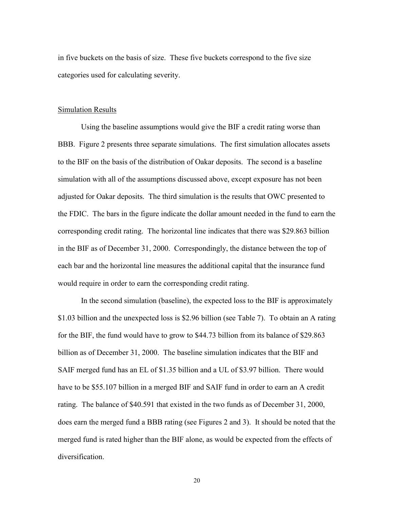in five buckets on the basis of size. These five buckets correspond to the five size categories used for calculating severity.

#### Simulation Results

 BBB. Figure 2 presents three separate simulations. The first simulation allocates assets Using the baseline assumptions would give the BIF a credit rating worse than to the BIF on the basis of the distribution of Oakar deposits. The second is a baseline simulation with all of the assumptions discussed above, except exposure has not been adjusted for Oakar deposits. The third simulation is the results that OWC presented to the FDIC. The bars in the figure indicate the dollar amount needed in the fund to earn the corresponding credit rating. The horizontal line indicates that there was \$29.863 billion in the BIF as of December 31, 2000. Correspondingly, the distance between the top of each bar and the horizontal line measures the additional capital that the insurance fund would require in order to earn the corresponding credit rating.

In the second simulation (baseline), the expected loss to the BIF is approximately \$1.03 billion and the unexpected loss is \$2.96 billion (see Table 7). To obtain an A rating for the BIF, the fund would have to grow to \$44.73 billion from its balance of \$29.863 billion as of December 31, 2000. The baseline simulation indicates that the BIF and SAIF merged fund has an EL of \$1.35 billion and a UL of \$3.97 billion. There would have to be \$55.107 billion in a merged BIF and SAIF fund in order to earn an A credit rating. The balance of \$40.591 that existed in the two funds as of December 31, 2000, does earn the merged fund a BBB rating (see Figures 2 and 3). It should be noted that the merged fund is rated higher than the BIF alone, as would be expected from the effects of diversification.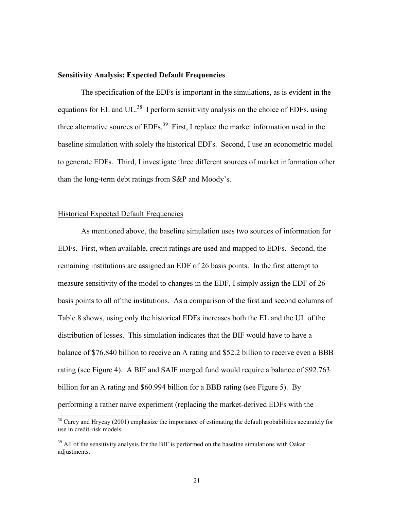#### **Sensitivity Analysis: Expected Default Frequencies**

The specification of the EDFs is important in the simulations, as is evident in the equations for EL and UL.<sup>38</sup> I perform sensitivity analysis on the choice of EDFs, using three alternative sources of  $EDFs$ <sup>39</sup> First, I replace the market information used in the baseline simulation with solely the historical EDFs. Second, I use an econometric model to generate EDFs. Third, I investigate three different sources of market information other than the long-term debt ratings from S&P and Moody's.

## Historical Expected Default Frequencies

 $\overline{a}$ 

 measure sensitivity of the model to changes in the EDF, I simply assign the EDF of 26 As mentioned above, the baseline simulation uses two sources of information for EDFs. First, when available, credit ratings are used and mapped to EDFs. Second, the remaining institutions are assigned an EDF of 26 basis points. In the first attempt to basis points to all of the institutions. As a comparison of the first and second columns of Table 8 shows, using only the historical EDFs increases both the EL and the UL of the distribution of losses. This simulation indicates that the BIF would have to have a balance of \$76.840 billion to receive an A rating and \$52.2 billion to receive even a BBB rating (see Figure 4). A BIF and SAIF merged fund would require a balance of \$92.763 billion for an A rating and \$60.994 billion for a BBB rating (see Figure 5). By performing a rather naive experiment (replacing the market-derived EDFs with the

 $38$  Carey and Hrycay (2001) emphasize the importance of estimating the default probabilities accurately for use in credit-risk models.

 $39$  All of the sensitivity analysis for the BIF is performed on the baseline simulations with Oakar adjustments.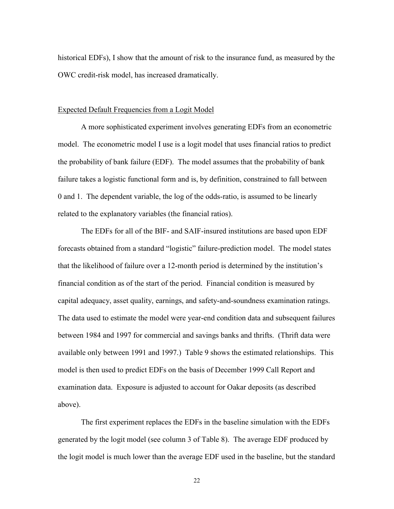historical EDFs), I show that the amount of risk to the insurance fund, as measured by the OWC credit-risk model, has increased dramatically.

#### Expected Default Frequencies from a Logit Model

A more sophisticated experiment involves generating EDFs from an econometric model. The econometric model I use is a logit model that uses financial ratios to predict the probability of bank failure (EDF). The model assumes that the probability of bank failure takes a logistic functional form and is, by definition, constrained to fall between 0 and 1. The dependent variable, the log of the odds-ratio, is assumed to be linearly related to the explanatory variables (the financial ratios).

The EDFs for all of the BIF- and SAIF-insured institutions are based upon EDF forecasts obtained from a standard "logistic" failure-prediction model. The model states that the likelihood of failure over a 12-month period is determined by the institution's financial condition as of the start of the period. Financial condition is measured by capital adequacy, asset quality, earnings, and safety-and-soundness examination ratings. The data used to estimate the model were year-end condition data and subsequent failures between 1984 and 1997 for commercial and savings banks and thrifts. (Thrift data were available only between 1991 and 1997.) Table 9 shows the estimated relationships. This model is then used to predict EDFs on the basis of December 1999 Call Report and examination data. Exposure is adjusted to account for Oakar deposits (as described above).

The first experiment replaces the EDFs in the baseline simulation with the EDFs generated by the logit model (see column 3 of Table 8). The average EDF produced by the logit model is much lower than the average EDF used in the baseline, but the standard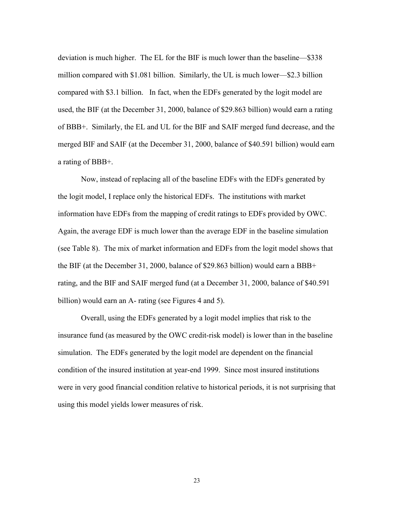deviation is much higher. The EL for the BIF is much lower than the baseline—\$338 million compared with \$1.081 billion. Similarly, the UL is much lower—\$2.3 billion compared with \$3.1 billion. In fact, when the EDFs generated by the logit model are used, the BIF (at the December 31, 2000, balance of \$29.863 billion) would earn a rating of BBB+. Similarly, the EL and UL for the BIF and SAIF merged fund decrease, and the merged BIF and SAIF (at the December 31, 2000, balance of \$40.591 billion) would earn a rating of BBB+.

 rating, and the BIF and SAIF merged fund (at a December 31, 2000, balance of \$40.591 Now, instead of replacing all of the baseline EDFs with the EDFs generated by the logit model, I replace only the historical EDFs. The institutions with market information have EDFs from the mapping of credit ratings to EDFs provided by OWC. Again, the average EDF is much lower than the average EDF in the baseline simulation (see Table 8). The mix of market information and EDFs from the logit model shows that the BIF (at the December 31, 2000, balance of \$29.863 billion) would earn a BBB+ billion) would earn an A- rating (see Figures 4 and 5).

Overall, using the EDFs generated by a logit model implies that risk to the insurance fund (as measured by the OWC credit-risk model) is lower than in the baseline simulation. The EDFs generated by the logit model are dependent on the financial condition of the insured institution at year-end 1999. Since most insured institutions were in very good financial condition relative to historical periods, it is not surprising that using this model yields lower measures of risk.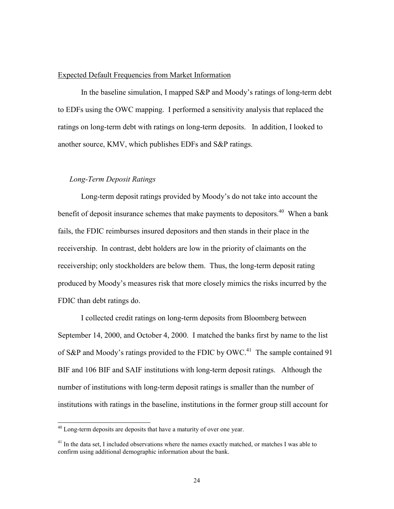## Expected Default Frequencies from Market Information

In the baseline simulation, I mapped S&P and Moody's ratings of long-term debt to EDFs using the OWC mapping. I performed a sensitivity analysis that replaced the ratings on long-term debt with ratings on long-term deposits. In addition, I looked to another source, KMV, which publishes EDFs and S&P ratings.

## *Long-Term Deposit Ratings*

benefit of deposit insurance schemes that make payments to depositors.<sup>40</sup> When a bank Long-term deposit ratings provided by Moody's do not take into account the fails, the FDIC reimburses insured depositors and then stands in their place in the receivership. In contrast, debt holders are low in the priority of claimants on the receivership; only stockholders are below them. Thus, the long-term deposit rating produced by Moody's measures risk that more closely mimics the risks incurred by the FDIC than debt ratings do.

I collected credit ratings on long-term deposits from Bloomberg between September 14, 2000, and October 4, 2000. I matched the banks first by name to the list of S&P and Moody's ratings provided to the FDIC by OWC.<sup>41</sup> The sample contained 91 BIF and 106 BIF and SAIF institutions with long-term deposit ratings. Although the number of institutions with long-term deposit ratings is smaller than the number of institutions with ratings in the baseline, institutions in the former group still account for

 $\overline{a}$ 

 $40$  Long-term deposits are deposits that have a maturity of over one year.

 $41$  In the data set, I included observations where the names exactly matched, or matches I was able to confirm using additional demographic information about the bank.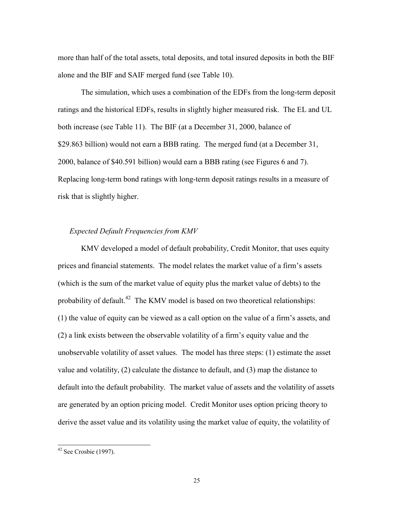more than half of the total assets, total deposits, and total insured deposits in both the BIF alone and the BIF and SAIF merged fund (see Table 10).

The simulation, which uses a combination of the EDFs from the long-term deposit ratings and the historical EDFs, results in slightly higher measured risk. The EL and UL both increase (see Table 11). The BIF (at a December 31, 2000, balance of \$29.863 billion) would not earn a BBB rating. The merged fund (at a December 31, 2000, balance of \$40.591 billion) would earn a BBB rating (see Figures 6 and 7). Replacing long-term bond ratings with long-term deposit ratings results in a measure of risk that is slightly higher.

# *Expected Default Frequencies from KMV*

 (2) a link exists between the observable volatility of a firm's equity value and the KMV developed a model of default probability, Credit Monitor, that uses equity prices and financial statements. The model relates the market value of a firm's assets (which is the sum of the market value of equity plus the market value of debts) to the probability of default.<sup>42</sup> The KMV model is based on two theoretical relationships: (1) the value of equity can be viewed as a call option on the value of a firm's assets, and unobservable volatility of asset values. The model has three steps: (1) estimate the asset value and volatility, (2) calculate the distance to default, and (3) map the distance to default into the default probability. The market value of assets and the volatility of assets are generated by an option pricing model. Credit Monitor uses option pricing theory to derive the asset value and its volatility using the market value of equity, the volatility of

 $\overline{a}$ 

 $42$  See Crosbie (1997).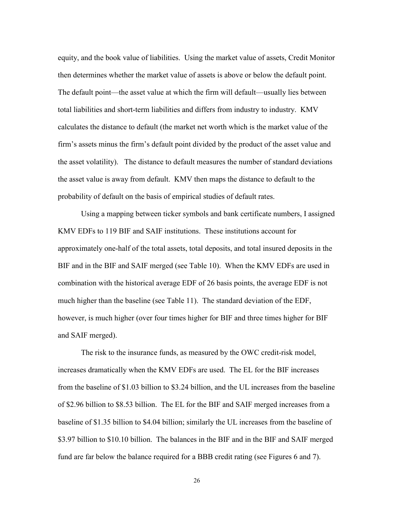total liabilities and short-term liabilities and differs from industry to industry. KMV equity, and the book value of liabilities. Using the market value of assets, Credit Monitor then determines whether the market value of assets is above or below the default point. The default point—the asset value at which the firm will default—usually lies between calculates the distance to default (the market net worth which is the market value of the firm's assets minus the firm's default point divided by the product of the asset value and the asset volatility). The distance to default measures the number of standard deviations the asset value is away from default. KMV then maps the distance to default to the probability of default on the basis of empirical studies of default rates.

Using a mapping between ticker symbols and bank certificate numbers, I assigned KMV EDFs to 119 BIF and SAIF institutions. These institutions account for approximately one-half of the total assets, total deposits, and total insured deposits in the BIF and in the BIF and SAIF merged (see Table 10). When the KMV EDFs are used in combination with the historical average EDF of 26 basis points, the average EDF is not much higher than the baseline (see Table 11). The standard deviation of the EDF, however, is much higher (over four times higher for BIF and three times higher for BIF and SAIF merged).

The risk to the insurance funds, as measured by the OWC credit-risk model, increases dramatically when the KMV EDFs are used. The EL for the BIF increases from the baseline of \$1.03 billion to \$3.24 billion, and the UL increases from the baseline of \$2.96 billion to \$8.53 billion. The EL for the BIF and SAIF merged increases from a baseline of \$1.35 billion to \$4.04 billion; similarly the UL increases from the baseline of \$3.97 billion to \$10.10 billion. The balances in the BIF and in the BIF and SAIF merged fund are far below the balance required for a BBB credit rating (see Figures 6 and 7).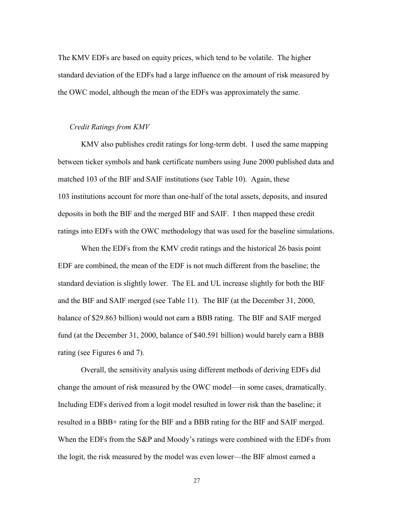The KMV EDFs are based on equity prices, which tend to be volatile. The higher standard deviation of the EDFs had a large influence on the amount of risk measured by the OWC model, although the mean of the EDFs was approximately the same.

#### *Credit Ratings from KMV*

KMV also publishes credit ratings for long-term debt. I used the same mapping between ticker symbols and bank certificate numbers using June 2000 published data and matched 103 of the BIF and SAIF institutions (see Table 10). Again, these 103 institutions account for more than one-half of the total assets, deposits, and insured deposits in both the BIF and the merged BIF and SAIF. I then mapped these credit ratings into EDFs with the OWC methodology that was used for the baseline simulations.

When the EDFs from the KMV credit ratings and the historical 26 basis point EDF are combined, the mean of the EDF is not much different from the baseline; the standard deviation is slightly lower. The EL and UL increase slightly for both the BIF and the BIF and SAIF merged (see Table 11). The BIF (at the December 31, 2000, balance of \$29.863 billion) would not earn a BBB rating. The BIF and SAIF merged fund (at the December 31, 2000, balance of \$40.591 billion) would barely earn a BBB rating (see Figures 6 and 7).

Overall, the sensitivity analysis using different methods of deriving EDFs did change the amount of risk measured by the OWC model—in some cases, dramatically. Including EDFs derived from a logit model resulted in lower risk than the baseline; it resulted in a BBB+ rating for the BIF and a BBB rating for the BIF and SAIF merged. When the EDFs from the S&P and Moody's ratings were combined with the EDFs from the logit, the risk measured by the model was even lower—the BIF almost earned a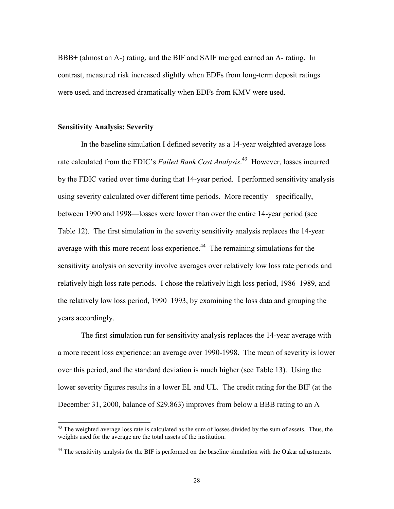BBB+ (almost an A-) rating, and the BIF and SAIF merged earned an A- rating. In contrast, measured risk increased slightly when EDFs from long-term deposit ratings were used, and increased dramatically when EDFs from KMV were used.

## **Sensitivity Analysis: Severity**

 $\overline{a}$ 

In the baseline simulation I defined severity as a 14-year weighted average loss rate calculated from the FDIC's *Failed Bank Cost Analysis*. 43 However, losses incurred by the FDIC varied over time during that 14-year period. I performed sensitivity analysis using severity calculated over different time periods. More recently—specifically, between 1990 and 1998—losses were lower than over the entire 14-year period (see Table 12). The first simulation in the severity sensitivity analysis replaces the 14-year average with this more recent loss experience.<sup>44</sup> The remaining simulations for the sensitivity analysis on severity involve averages over relatively low loss rate periods and relatively high loss rate periods. I chose the relatively high loss period, 1986–1989, and the relatively low loss period, 1990–1993, by examining the loss data and grouping the years accordingly.

 lower severity figures results in a lower EL and UL. The credit rating for the BIF (at the The first simulation run for sensitivity analysis replaces the 14-year average with a more recent loss experience: an average over 1990-1998. The mean of severity is lower over this period, and the standard deviation is much higher (see Table 13). Using the December 31, 2000, balance of \$29.863) improves from below a BBB rating to an A

 $43$  The weighted average loss rate is calculated as the sum of losses divided by the sum of assets. Thus, the weights used for the average are the total assets of the institution.

<sup>&</sup>lt;sup>44</sup> The sensitivity analysis for the BIF is performed on the baseline simulation with the Oakar adjustments.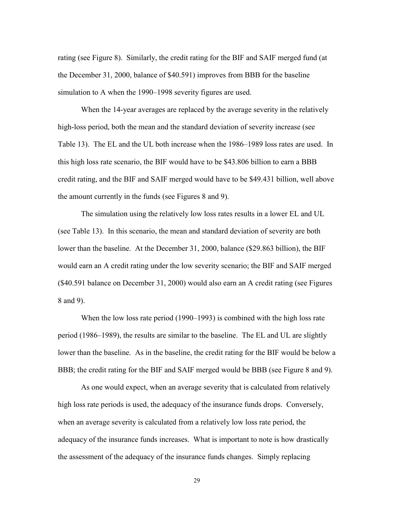rating (see Figure 8). Similarly, the credit rating for the BIF and SAIF merged fund (at the December 31, 2000, balance of \$40.591) improves from BBB for the baseline simulation to A when the 1990–1998 severity figures are used.

When the 14-year averages are replaced by the average severity in the relatively high-loss period, both the mean and the standard deviation of severity increase (see Table 13). The EL and the UL both increase when the 1986–1989 loss rates are used. In this high loss rate scenario, the BIF would have to be \$43.806 billion to earn a BBB credit rating, and the BIF and SAIF merged would have to be \$49.431 billion, well above the amount currently in the funds (see Figures 8 and 9).

The simulation using the relatively low loss rates results in a lower EL and UL (see Table 13). In this scenario, the mean and standard deviation of severity are both lower than the baseline. At the December 31, 2000, balance (\$29.863 billion), the BIF would earn an A credit rating under the low severity scenario; the BIF and SAIF merged (\$40.591 balance on December 31, 2000) would also earn an A credit rating (see Figures 8 and 9).

 BBB; the credit rating for the BIF and SAIF merged would be BBB (see Figure 8 and 9). When the low loss rate period (1990–1993) is combined with the high loss rate period (1986–1989), the results are similar to the baseline. The EL and UL are slightly lower than the baseline. As in the baseline, the credit rating for the BIF would be below a

As one would expect, when an average severity that is calculated from relatively high loss rate periods is used, the adequacy of the insurance funds drops. Conversely, when an average severity is calculated from a relatively low loss rate period, the adequacy of the insurance funds increases. What is important to note is how drastically the assessment of the adequacy of the insurance funds changes. Simply replacing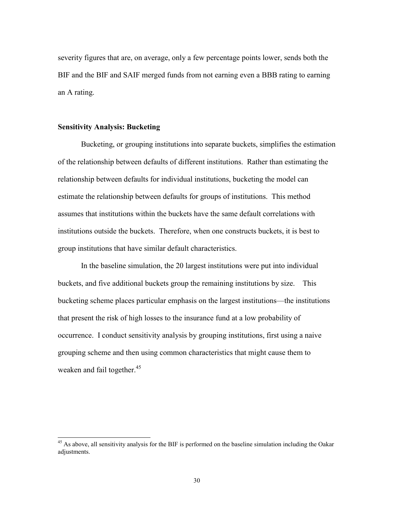BIF and the BIF and SAIF merged funds from not earning even a BBB rating to earning severity figures that are, on average, only a few percentage points lower, sends both the an A rating.

## **Sensitivity Analysis: Bucketing**

 $\overline{a}$ 

 institutions outside the buckets. Therefore, when one constructs buckets, it is best to Bucketing, or grouping institutions into separate buckets, simplifies the estimation of the relationship between defaults of different institutions. Rather than estimating the relationship between defaults for individual institutions, bucketing the model can estimate the relationship between defaults for groups of institutions. This method assumes that institutions within the buckets have the same default correlations with group institutions that have similar default characteristics.

In the baseline simulation, the 20 largest institutions were put into individual buckets, and five additional buckets group the remaining institutions by size. This bucketing scheme places particular emphasis on the largest institutions—the institutions that present the risk of high losses to the insurance fund at a low probability of occurrence. I conduct sensitivity analysis by grouping institutions, first using a naive grouping scheme and then using common characteristics that might cause them to weaken and fail together.<sup>45</sup>

<sup>&</sup>lt;sup>45</sup> As above, all sensitivity analysis for the BIF is performed on the baseline simulation including the Oakar adjustments.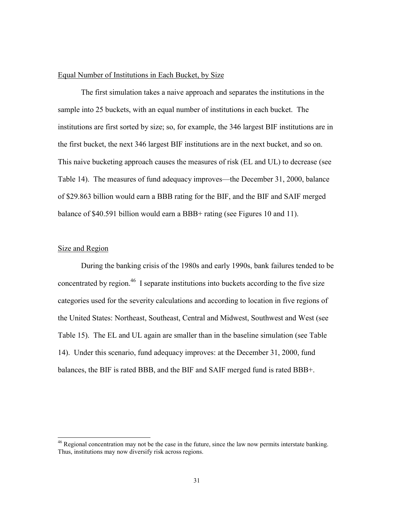## Equal Number of Institutions in Each Bucket, by Size

The first simulation takes a naive approach and separates the institutions in the sample into 25 buckets, with an equal number of institutions in each bucket. The institutions are first sorted by size; so, for example, the 346 largest BIF institutions are in the first bucket, the next 346 largest BIF institutions are in the next bucket, and so on. This naive bucketing approach causes the measures of risk (EL and UL) to decrease (see Table 14). The measures of fund adequacy improves—the December 31, 2000, balance of \$29.863 billion would earn a BBB rating for the BIF, and the BIF and SAIF merged balance of \$40.591 billion would earn a BBB+ rating (see Figures 10 and 11).

#### Size and Region

 $\overline{a}$ 

During the banking crisis of the 1980s and early 1990s, bank failures tended to be concentrated by region.<sup>46</sup> I separate institutions into buckets according to the five size categories used for the severity calculations and according to location in five regions of the United States: Northeast, Southeast, Central and Midwest, Southwest and West (see Table 15). The EL and UL again are smaller than in the baseline simulation (see Table 14). Under this scenario, fund adequacy improves: at the December 31, 2000, fund balances, the BIF is rated BBB, and the BIF and SAIF merged fund is rated BBB+.

<sup>&</sup>lt;sup>46</sup> Regional concentration may not be the case in the future, since the law now permits interstate banking. Thus, institutions may now diversify risk across regions.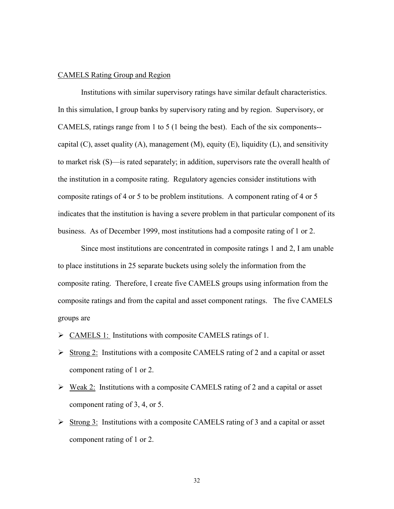#### CAMELS Rating Group and Region

capital  $(C)$ , asset quality  $(A)$ , management  $(M)$ , equity  $(E)$ , liquidity  $(L)$ , and sensitivity Institutions with similar supervisory ratings have similar default characteristics. In this simulation, I group banks by supervisory rating and by region. Supervisory, or CAMELS, ratings range from 1 to 5 (1 being the best). Each of the six components- to market risk (S)—is rated separately; in addition, supervisors rate the overall health of the institution in a composite rating. Regulatory agencies consider institutions with composite ratings of 4 or 5 to be problem institutions. A component rating of 4 or 5 indicates that the institution is having a severe problem in that particular component of its business. As of December 1999, most institutions had a composite rating of 1 or 2.

Since most institutions are concentrated in composite ratings 1 and 2, I am unable to place institutions in 25 separate buckets using solely the information from the composite rating. Therefore, I create five CAMELS groups using information from the composite ratings and from the capital and asset component ratings. The five CAMELS groups are

- $\triangleright$  CAMELS 1: Institutions with composite CAMELS ratings of 1.
- $\triangleright$  Strong 2: Institutions with a composite CAMELS rating of 2 and a capital or asset component rating of 1 or 2.
- $\triangleright$  Weak 2: Institutions with a composite CAMELS rating of 2 and a capital or asset component rating of 3, 4, or 5.
- $\triangleright$  Strong 3: Institutions with a composite CAMELS rating of 3 and a capital or asset component rating of 1 or 2.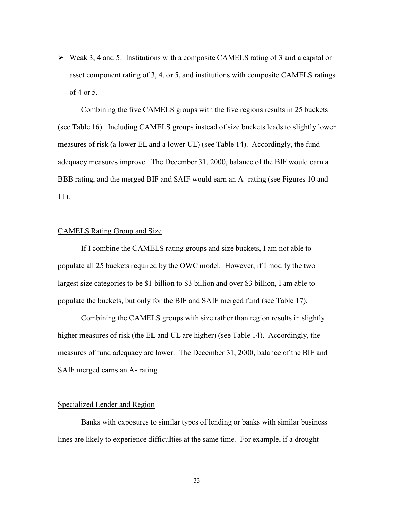$\triangleright$  Weak 3, 4 and 5: Institutions with a composite CAMELS rating of 3 and a capital or asset component rating of 3, 4, or 5, and institutions with composite CAMELS ratings of 4 or 5.

 BBB rating, and the merged BIF and SAIF would earn an A- rating (see Figures 10 and Combining the five CAMELS groups with the five regions results in 25 buckets (see Table 16). Including CAMELS groups instead of size buckets leads to slightly lower measures of risk (a lower EL and a lower UL) (see Table 14). Accordingly, the fund adequacy measures improve. The December 31, 2000, balance of the BIF would earn a 11).

#### CAMELS Rating Group and Size

If I combine the CAMELS rating groups and size buckets, I am not able to populate all 25 buckets required by the OWC model. However, if I modify the two largest size categories to be \$1 billion to \$3 billion and over \$3 billion, I am able to populate the buckets, but only for the BIF and SAIF merged fund (see Table 17).

Combining the CAMELS groups with size rather than region results in slightly higher measures of risk (the EL and UL are higher) (see Table 14). Accordingly, the measures of fund adequacy are lower. The December 31, 2000, balance of the BIF and SAIF merged earns an A- rating.

#### Specialized Lender and Region

Banks with exposures to similar types of lending or banks with similar business lines are likely to experience difficulties at the same time. For example, if a drought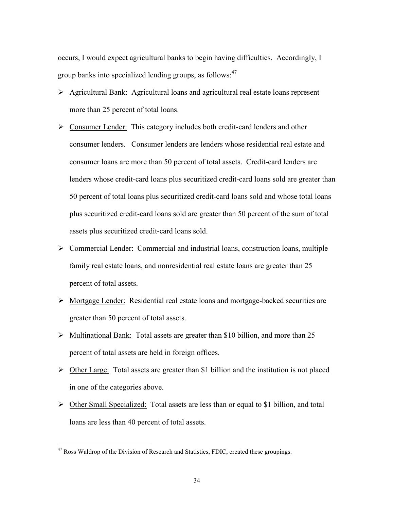occurs, I would expect agricultural banks to begin having difficulties. Accordingly, I group banks into specialized lending groups, as follows:<sup>47</sup>

- Agricultural Bank: Agricultural loans and agricultural real estate loans represent more than 25 percent of total loans.
- $\triangleright$  Consumer Lender: This category includes both credit-card lenders and other consumer lenders. Consumer lenders are lenders whose residential real estate and consumer loans are more than 50 percent of total assets. Credit-card lenders are lenders whose credit-card loans plus securitized credit-card loans sold are greater than 50 percent of total loans plus securitized credit-card loans sold and whose total loans plus securitized credit-card loans sold are greater than 50 percent of the sum of total assets plus securitized credit-card loans sold.
- $\triangleright$  Commercial Lender: Commercial and industrial loans, construction loans, multiple family real estate loans, and nonresidential real estate loans are greater than 25 percent of total assets.
- Mortgage Lender: Residential real estate loans and mortgage-backed securities are greater than 50 percent of total assets.
- $\triangleright$  Multinational Bank: Total assets are greater than \$10 billion, and more than 25 percent of total assets are held in foreign offices.
- $\triangleright$  Other Large: Total assets are greater than \$1 billion and the institution is not placed in one of the categories above.
- $\triangleright$  Other Small Specialized: Total assets are less than or equal to \$1 billion, and total loans are less than 40 percent of total assets.

 $\overline{a}$ 

 $47$  Ross Waldrop of the Division of Research and Statistics, FDIC, created these groupings.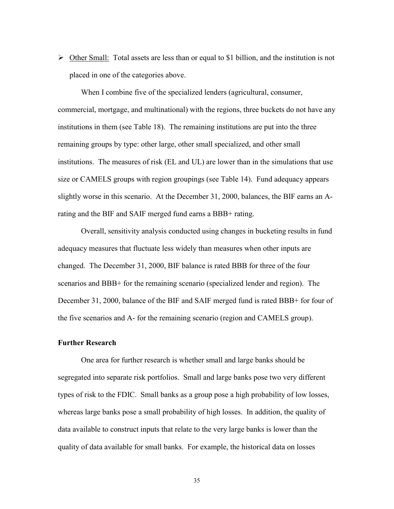$\triangleright$  Other Small: Total assets are less than or equal to \$1 billion, and the institution is not placed in one of the categories above.

 rating and the BIF and SAIF merged fund earns a BBB+ rating. When I combine five of the specialized lenders (agricultural, consumer, commercial, mortgage, and multinational) with the regions, three buckets do not have any institutions in them (see Table 18). The remaining institutions are put into the three remaining groups by type: other large, other small specialized, and other small institutions. The measures of risk (EL and UL) are lower than in the simulations that use size or CAMELS groups with region groupings (see Table 14). Fund adequacy appears slightly worse in this scenario. At the December 31, 2000, balances, the BIF earns an A-

Overall, sensitivity analysis conducted using changes in bucketing results in fund adequacy measures that fluctuate less widely than measures when other inputs are changed. The December 31, 2000, BIF balance is rated BBB for three of the four scenarios and BBB+ for the remaining scenario (specialized lender and region). The December 31, 2000, balance of the BIF and SAIF merged fund is rated BBB+ for four of the five scenarios and A- for the remaining scenario (region and CAMELS group).

#### **Further Research**

One area for further research is whether small and large banks should be segregated into separate risk portfolios. Small and large banks pose two very different types of risk to the FDIC. Small banks as a group pose a high probability of low losses, whereas large banks pose a small probability of high losses. In addition, the quality of data available to construct inputs that relate to the very large banks is lower than the quality of data available for small banks. For example, the historical data on losses

35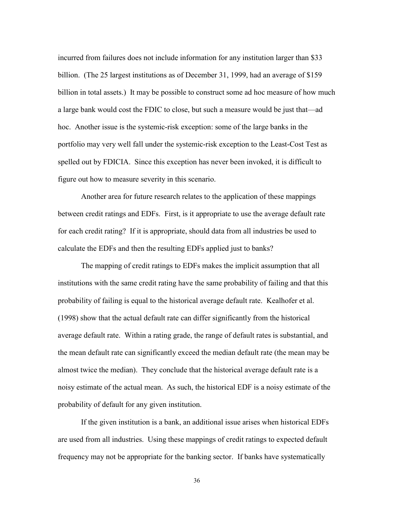billion in total assets.) It may be possible to construct some ad hoc measure of how much incurred from failures does not include information for any institution larger than \$33 billion. (The 25 largest institutions as of December 31, 1999, had an average of \$159 a large bank would cost the FDIC to close, but such a measure would be just that—ad hoc. Another issue is the systemic-risk exception: some of the large banks in the portfolio may very well fall under the systemic-risk exception to the Least-Cost Test as spelled out by FDICIA. Since this exception has never been invoked, it is difficult to figure out how to measure severity in this scenario.

 calculate the EDFs and then the resulting EDFs applied just to banks? Another area for future research relates to the application of these mappings between credit ratings and EDFs. First, is it appropriate to use the average default rate for each credit rating? If it is appropriate, should data from all industries be used to

 noisy estimate of the actual mean. As such, the historical EDF is a noisy estimate of the The mapping of credit ratings to EDFs makes the implicit assumption that all institutions with the same credit rating have the same probability of failing and that this probability of failing is equal to the historical average default rate. Kealhofer et al. (1998) show that the actual default rate can differ significantly from the historical average default rate. Within a rating grade, the range of default rates is substantial, and the mean default rate can significantly exceed the median default rate (the mean may be almost twice the median). They conclude that the historical average default rate is a probability of default for any given institution.

If the given institution is a bank, an additional issue arises when historical EDFs are used from all industries. Using these mappings of credit ratings to expected default frequency may not be appropriate for the banking sector. If banks have systematically

36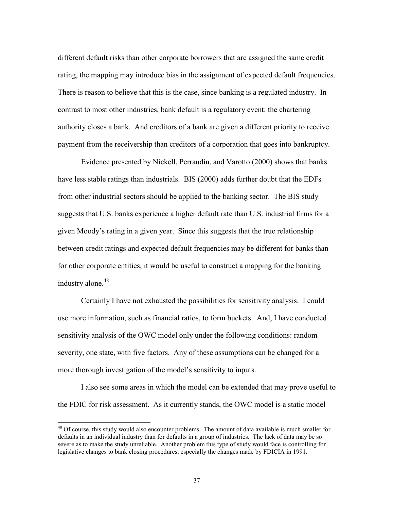There is reason to believe that this is the case, since banking is a regulated industry. In different default risks than other corporate borrowers that are assigned the same credit rating, the mapping may introduce bias in the assignment of expected default frequencies. contrast to most other industries, bank default is a regulatory event: the chartering authority closes a bank. And creditors of a bank are given a different priority to receive payment from the receivership than creditors of a corporation that goes into bankruptcy.

Evidence presented by Nickell, Perraudin, and Varotto (2000) shows that banks have less stable ratings than industrials. BIS (2000) adds further doubt that the EDFs from other industrial sectors should be applied to the banking sector. The BIS study suggests that U.S. banks experience a higher default rate than U.S. industrial firms for a given Moody's rating in a given year. Since this suggests that the true relationship between credit ratings and expected default frequencies may be different for banks than for other corporate entities, it would be useful to construct a mapping for the banking industry alone.<sup>48</sup>

Certainly I have not exhausted the possibilities for sensitivity analysis. I could use more information, such as financial ratios, to form buckets. And, I have conducted sensitivity analysis of the OWC model only under the following conditions: random severity, one state, with five factors. Any of these assumptions can be changed for a more thorough investigation of the model's sensitivity to inputs.

I also see some areas in which the model can be extended that may prove useful to the FDIC for risk assessment. As it currently stands, the OWC model is a static model

 $\overline{a}$ 

<sup>&</sup>lt;sup>48</sup> Of course, this study would also encounter problems. The amount of data available is much smaller for defaults in an individual industry than for defaults in a group of industries. The lack of data may be so severe as to make the study unreliable. Another problem this type of study would face is controlling for legislative changes to bank closing procedures, especially the changes made by FDICIA in 1991.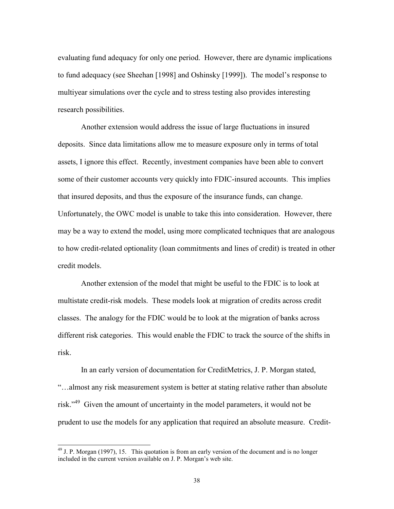multiyear simulations over the cycle and to stress testing also provides interesting evaluating fund adequacy for only one period. However, there are dynamic implications to fund adequacy (see Sheehan [1998] and Oshinsky [1999]). The model's response to research possibilities.

Another extension would address the issue of large fluctuations in insured deposits. Since data limitations allow me to measure exposure only in terms of total assets, I ignore this effect. Recently, investment companies have been able to convert some of their customer accounts very quickly into FDIC-insured accounts. This implies that insured deposits, and thus the exposure of the insurance funds, can change. Unfortunately, the OWC model is unable to take this into consideration. However, there may be a way to extend the model, using more complicated techniques that are analogous to how credit-related optionality (loan commitments and lines of credit) is treated in other credit models.

Another extension of the model that might be useful to the FDIC is to look at multistate credit-risk models. These models look at migration of credits across credit classes. The analogy for the FDIC would be to look at the migration of banks across different risk categories. This would enable the FDIC to track the source of the shifts in risk.

In an early version of documentation for CreditMetrics, J. P. Morgan stated, "…almost any risk measurement system is better at stating relative rather than absolute risk."<sup>49</sup> Given the amount of uncertainty in the model parameters, it would not be prudent to use the models for any application that required an absolute measure. Credit-

 $\overline{a}$ 

 $^{49}$  J. P. Morgan (1997), 15. This quotation is from an early version of the document and is no longer included in the current version available on J. P. Morgan's web site.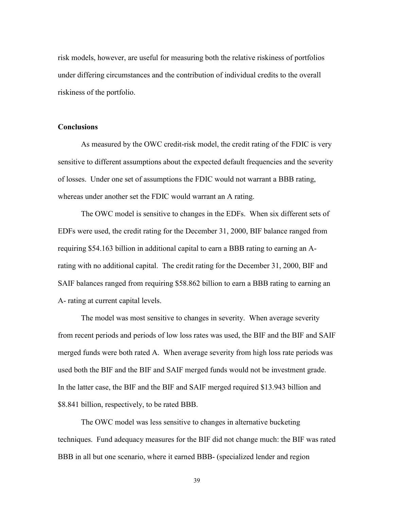risk models, however, are useful for measuring both the relative riskiness of portfolios under differing circumstances and the contribution of individual credits to the overall riskiness of the portfolio.

### **Conclusions**

As measured by the OWC credit-risk model, the credit rating of the FDIC is very sensitive to different assumptions about the expected default frequencies and the severity of losses. Under one set of assumptions the FDIC would not warrant a BBB rating, whereas under another set the FDIC would warrant an A rating.

The OWC model is sensitive to changes in the EDFs. When six different sets of EDFs were used, the credit rating for the December 31, 2000, BIF balance ranged from requiring \$54.163 billion in additional capital to earn a BBB rating to earning an Arating with no additional capital. The credit rating for the December 31, 2000, BIF and SAIF balances ranged from requiring \$58.862 billion to earn a BBB rating to earning an A- rating at current capital levels.

The model was most sensitive to changes in severity. When average severity from recent periods and periods of low loss rates was used, the BIF and the BIF and SAIF merged funds were both rated A. When average severity from high loss rate periods was used both the BIF and the BIF and SAIF merged funds would not be investment grade. In the latter case, the BIF and the BIF and SAIF merged required \$13.943 billion and \$8.841 billion, respectively, to be rated BBB.

The OWC model was less sensitive to changes in alternative bucketing techniques. Fund adequacy measures for the BIF did not change much: the BIF was rated BBB in all but one scenario, where it earned BBB- (specialized lender and region

39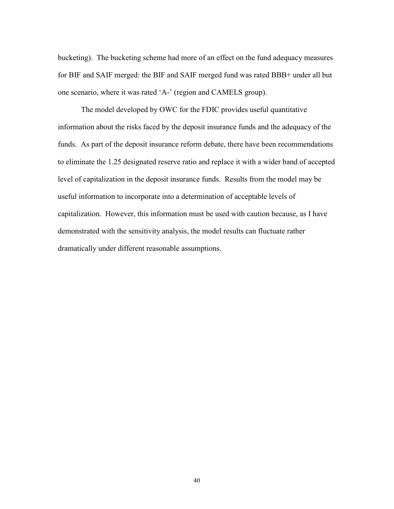bucketing). The bucketing scheme had more of an effect on the fund adequacy measures for BIF and SAIF merged: the BIF and SAIF merged fund was rated BBB+ under all but one scenario, where it was rated 'A-' (region and CAMELS group).

The model developed by OWC for the FDIC provides useful quantitative information about the risks faced by the deposit insurance funds and the adequacy of the funds. As part of the deposit insurance reform debate, there have been recommendations to eliminate the 1.25 designated reserve ratio and replace it with a wider band of accepted level of capitalization in the deposit insurance funds. Results from the model may be useful information to incorporate into a determination of acceptable levels of capitalization. However, this information must be used with caution because, as I have demonstrated with the sensitivity analysis, the model results can fluctuate rather dramatically under different reasonable assumptions.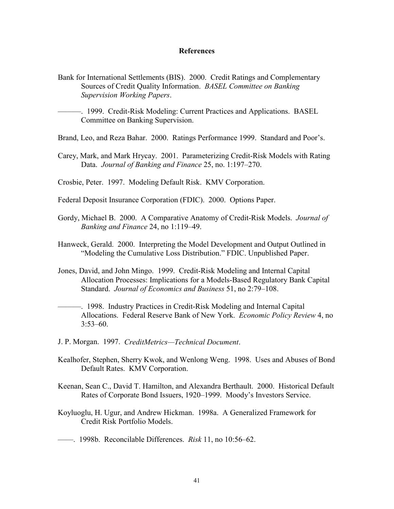#### **References**

- Bank for International Settlements (BIS). 2000. Credit Ratings and Complementary Sources of Credit Quality Information. *BASEL Committee on Banking Supervision Working Papers*.
- ———. 1999. Credit-Risk Modeling: Current Practices and Applications. BASEL Committee on Banking Supervision.
- Brand, Leo, and Reza Bahar. 2000. Ratings Performance 1999. Standard and Poor's.
- Carey, Mark, and Mark Hrycay. 2001. Parameterizing Credit-Risk Models with Rating Data. *Journal of Banking and Finance* 25, no. 1:197–270.

Crosbie, Peter. 1997. Modeling Default Risk. KMV Corporation.

- Federal Deposit Insurance Corporation (FDIC). 2000. Options Paper.
- Gordy, Michael B. 2000. A Comparative Anatomy of Credit-Risk Models. *Journal of Banking and Finance* 24, no 1:119–49.
- Hanweck, Gerald. 2000. Interpreting the Model Development and Output Outlined in "Modeling the Cumulative Loss Distribution." FDIC. Unpublished Paper.
- Jones, David, and John Mingo. 1999. Credit-Risk Modeling and Internal Capital Allocation Processes: Implications for a Models-Based Regulatory Bank Capital Standard. *Journal of Economics and Business* 51, no 2:79–108.
- ———. 1998. Industry Practices in Credit-Risk Modeling and Internal Capital Allocations. Federal Reserve Bank of New York. *Economic Policy Review* 4, no 3:53–60.
- J. P. Morgan. 1997. *CreditMetrics—Technical Document*.
- Kealhofer, Stephen, Sherry Kwok, and Wenlong Weng. 1998. Uses and Abuses of Bond Default Rates. KMV Corporation.
- Keenan, Sean C., David T. Hamilton, and Alexandra Berthault. 2000. Historical Default Rates of Corporate Bond Issuers, 1920–1999. Moody's Investors Service.
- Koyluoglu, H. Ugur, and Andrew Hickman. 1998a. A Generalized Framework for Credit Risk Portfolio Models.

<sup>——. 1998</sup>b. Reconcilable Differences. *Risk* 11, no 10:56–62.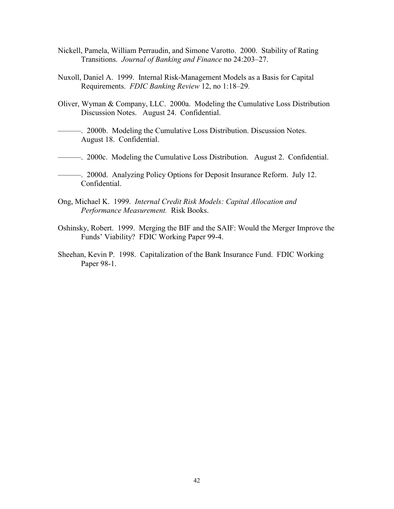- Nickell, Pamela, William Perraudin, and Simone Varotto. 2000. Stability of Rating Transitions. *Journal of Banking and Finance* no 24:203–27.
- Nuxoll, Daniel A. 1999. Internal Risk-Management Models as a Basis for Capital Requirements. *FDIC Banking Review* 12, no 1:18–29.
- Oliver, Wyman & Company, LLC. 2000a. Modeling the Cumulative Loss Distribution Discussion Notes. August 24. Confidential.
- ———. 2000b. Modeling the Cumulative Loss Distribution. Discussion Notes. August 18. Confidential.
- ———. 2000c. Modeling the Cumulative Loss Distribution. August 2. Confidential.
- ———. 2000d. Analyzing Policy Options for Deposit Insurance Reform. July 12. Confidential.
- Ong, Michael K. 1999. *Internal Credit Risk Models: Capital Allocation and Performance Measurement.* Risk Books.
- Oshinsky, Robert. 1999. Merging the BIF and the SAIF: Would the Merger Improve the Funds' Viability? FDIC Working Paper 99-4.
- Sheehan, Kevin P. 1998. Capitalization of the Bank Insurance Fund. FDIC Working Paper 98-1.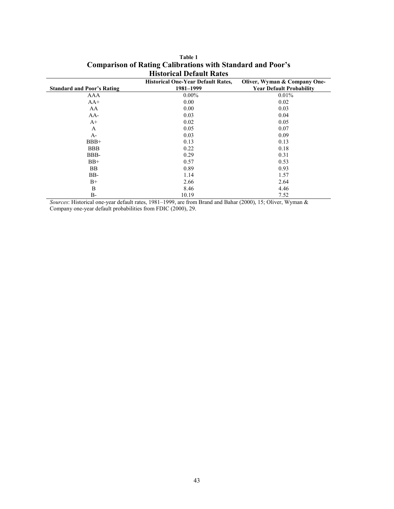| <b>Standard and Poor's Rating</b> | <b>Historical One-Year Default Rates,</b><br>1981-1999 | Oliver, Wyman & Company One-<br><b>Year Default Probability</b> |
|-----------------------------------|--------------------------------------------------------|-----------------------------------------------------------------|
| AAA                               | $0.00\%$                                               | 0.01%                                                           |
| $AA+$                             | 0.00                                                   | 0.02                                                            |
| AA                                | 0.00                                                   | 0.03                                                            |
| $AA-$                             | 0.03                                                   | 0.04                                                            |
| $A+$                              | 0.02                                                   | 0.05                                                            |
| A                                 | 0.05                                                   | 0.07                                                            |
| $A-$                              | 0.03                                                   | 0.09                                                            |
| $BBB+$                            | 0.13                                                   | 0.13                                                            |
| <b>BBB</b>                        | 0.22                                                   | 0.18                                                            |
| BBB-                              | 0.29                                                   | 0.31                                                            |
| $BB+$                             | 0.57                                                   | 0.53                                                            |
| <b>BB</b>                         | 0.89                                                   | 0.93                                                            |
| BB-                               | 1.14                                                   | 1.57                                                            |
| $B+$                              | 2.66                                                   | 2.64                                                            |
| B                                 | 8.46                                                   | 4.46                                                            |
| $B-$                              | 10.19                                                  | 7.52                                                            |

| Table 1                                                           |
|-------------------------------------------------------------------|
| <b>Comparison of Rating Calibrations with Standard and Poor's</b> |
| <b>Historical Default Rates</b>                                   |

*Sources*: Historical one-year default rates, 1981–1999, are from Brand and Bahar (2000), 15; Oliver, Wyman & Company one-year default probabilities from FDIC (2000), 29.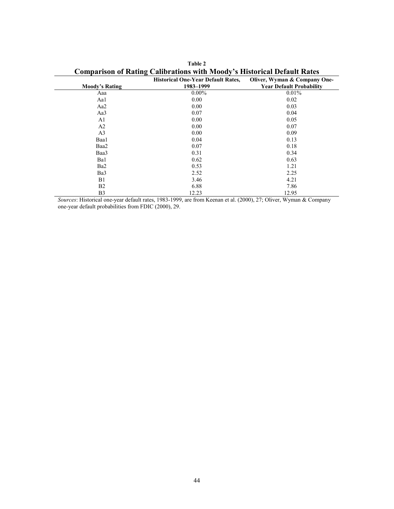|                       | <b>Historical One-Year Default Rates,</b> | Oliver, Wyman & Company One-    |
|-----------------------|-------------------------------------------|---------------------------------|
| <b>Moody's Rating</b> | 1983-1999                                 | <b>Year Default Probability</b> |
| Aaa                   | $0.00\%$                                  | 0.01%                           |
| Aa1                   | 0.00                                      | 0.02                            |
| Aa2                   | 0.00                                      | 0.03                            |
| Aa3                   | 0.07                                      | 0.04                            |
| A <sub>1</sub>        | 0.00                                      | 0.05                            |
| A <sub>2</sub>        | 0.00                                      | 0.07                            |
| A <sub>3</sub>        | 0.00                                      | 0.09                            |
| Baa1                  | 0.04                                      | 0.13                            |
| Baa2                  | 0.07                                      | 0.18                            |
| Baa3                  | 0.31                                      | 0.34                            |
| Ba1                   | 0.62                                      | 0.63                            |
| Ba <sub>2</sub>       | 0.53                                      | 1.21                            |
| Ba3                   | 2.52                                      | 2.25                            |
| B1                    | 3.46                                      | 4.21                            |
| B <sub>2</sub>        | 6.88                                      | 7.86                            |
| B <sub>3</sub>        | 12.23                                     | 12.95                           |

**Table 2 Comparison of Rating Calibrations with Moody's Historical Default Rates** 

*Sources*: Historical one-year default rates, 1983-1999, are from Keenan et al. (2000), 27; Oliver, Wyman & Company one-year default probabilities from FDIC (2000), 29.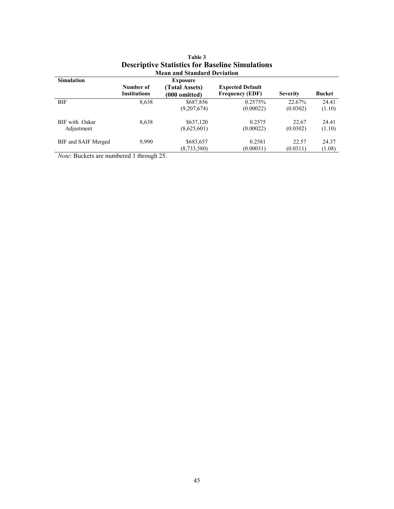|                     | <b>Mean and Standard Deviation</b> |                 |                         |                 |               |
|---------------------|------------------------------------|-----------------|-------------------------|-----------------|---------------|
| <b>Simulation</b>   |                                    | <b>Exposure</b> |                         |                 |               |
|                     | Number of                          | (Total Assets)  | <b>Expected Default</b> |                 |               |
|                     | <b>Institutions</b>                | (000 omitted)   | <b>Frequency (EDF)</b>  | <b>Severity</b> | <b>Bucket</b> |
| <b>BIF</b>          | 8,638                              | \$687,856       | 0.2575%                 | 22.67%          | 24.41         |
|                     |                                    | (9,207,674)     | (0.00022)               | (0.0302)        | (1.10)        |
| BIF with Oakar      | 8,638                              | \$637,120       | 0.2575                  | 22.67           | 24.41         |
| Adjustment          |                                    | (8,625,601)     | (0.00022)               | (0.0302)        | (1.10)        |
| BIF and SAIF Merged | 9,990                              | \$683,657       | 0.2581                  | 22.57           | 24.37         |
|                     |                                    | (8,733,580)     | (0.00031)               | (0.0311)        | (1.08)        |

## **Table 3 Descriptive Statistics for Baseline Simulations**

*Note*: Buckets are numbered 1 through 25.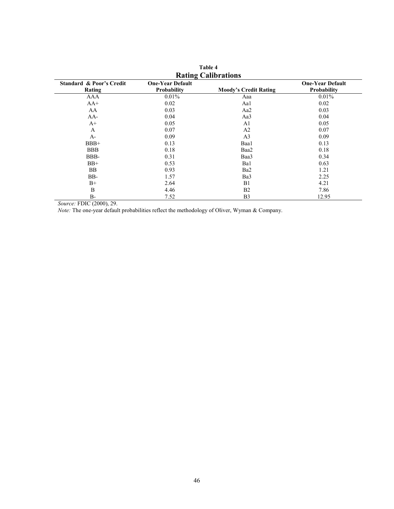|                                               |                                        | <b>RAGHIE</b> Calibrations   |                                        |
|-----------------------------------------------|----------------------------------------|------------------------------|----------------------------------------|
| <b>Standard &amp; Poor's Credit</b><br>Rating | <b>One-Year Default</b><br>Probability | <b>Moody's Credit Rating</b> | <b>One-Year Default</b><br>Probability |
| AAA                                           | $0.01\%$                               | Aaa                          | $0.01\%$                               |
| $AA+$                                         | 0.02                                   | Aa1                          | 0.02                                   |
| AA                                            | 0.03                                   | Aa2                          | 0.03                                   |
| $AA-$                                         | 0.04                                   | Aa3                          | 0.04                                   |
| $A+$                                          | 0.05                                   | A <sub>1</sub>               | 0.05                                   |
| A                                             | 0.07                                   | A <sub>2</sub>               | 0.07                                   |
| $A-$                                          | 0.09                                   | A <sub>3</sub>               | 0.09                                   |
| $BBB+$                                        | 0.13                                   | Baa1                         | 0.13                                   |
| <b>BBB</b>                                    | 0.18                                   | Baa2                         | 0.18                                   |
| BBB-                                          | 0.31                                   | Baa3                         | 0.34                                   |
| $BB+$                                         | 0.53                                   | Ba1                          | 0.63                                   |
| <b>BB</b>                                     | 0.93                                   | Ba2                          | 1.21                                   |
| BB-                                           | 1.57                                   | Ba3                          | 2.25                                   |
| $B+$                                          | 2.64                                   | B1                           | 4.21                                   |
| B                                             | 4.46                                   | B <sub>2</sub>               | 7.86                                   |
| $B-$                                          | 7.52                                   | B <sub>3</sub>               | 12.95                                  |

**Table 4 Rating Calibrations** 

*Source:* FDIC (2000), 29.

*Note:* The one-year default probabilities reflect the methodology of Oliver, Wyman & Company.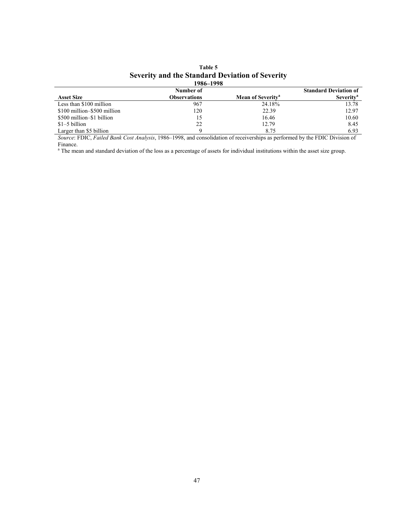| 1986–1998                   |              |                               |                              |  |
|-----------------------------|--------------|-------------------------------|------------------------------|--|
|                             | Number of    |                               | <b>Standard Deviation of</b> |  |
| <b>Asset Size</b>           | Observations | Mean of Severity <sup>a</sup> | Severity <sup>a</sup>        |  |
| Less than \$100 million     | 967          | 24.18%                        | 13.78                        |  |
| \$100 million-\$500 million | 120          | 22.39                         | 12.97                        |  |
| \$500 million–\$1 billion   | 15           | 16.46                         | 10.60                        |  |
| $$1-5$ billion              | 22           | 12.79                         | 8.45                         |  |
| Larger than \$5 billion     |              | 8.75                          | 6.93                         |  |

# **Table 5 Severity and the Standard Deviation of Severity**

*Source*: FDIC, *Failed Bank Cost Analysis*, 1986–1998, and consolidation of receiverships as performed by the FDIC Division of

Finance.<br><sup>a</sup> The mean and standard deviation of the loss as a percentage of assets for individual institutions within the asset size group.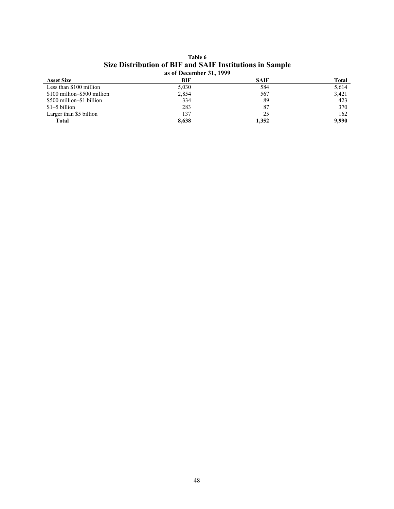| as of December 31, 1999     |       |             |       |  |
|-----------------------------|-------|-------------|-------|--|
| <b>Asset Size</b>           | BIF   | <b>SAIF</b> | Total |  |
| Less than \$100 million     | 5,030 | 584         | 5,614 |  |
| \$100 million-\$500 million | 2,854 | 567         | 3,421 |  |
| \$500 million–\$1 billion   | 334   | 89          | 423   |  |
| $$1-5$ billion              | 283   | 87          | 370   |  |
| Larger than \$5 billion     | 137   | 25          | 162   |  |
| <b>Total</b>                | 8.638 | 1.352       | 9.990 |  |

**Table 6 Size Distribution of BIF and SAIF Institutions in Sample**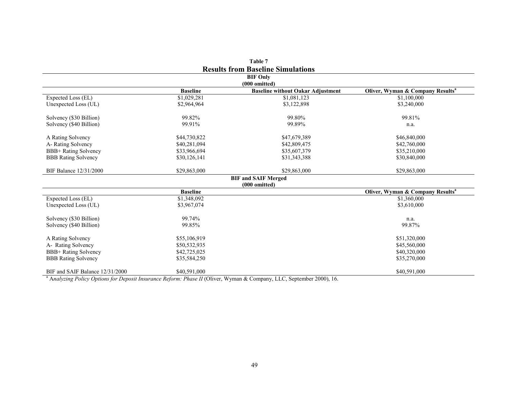|                                          |                 | Table 7                                                   |                                              |  |
|------------------------------------------|-----------------|-----------------------------------------------------------|----------------------------------------------|--|
| <b>Results from Baseline Simulations</b> |                 |                                                           |                                              |  |
| <b>BIF Only</b>                          |                 |                                                           |                                              |  |
|                                          | <b>Baseline</b> | (000 omitted)<br><b>Baseline without Oakar Adjustment</b> | Oliver, Wyman & Company Results <sup>a</sup> |  |
| Expected Loss (EL)                       | \$1,029,281     | \$1,081,123                                               | \$1,100,000                                  |  |
| Unexpected Loss (UL)                     | \$2,964,964     | \$3,122,898                                               | \$3,240,000                                  |  |
|                                          |                 |                                                           |                                              |  |
| Solvency (\$30 Billion)                  | 99.82%          | 99.80%                                                    | 99.81%                                       |  |
| Solvency (\$40 Billion)                  | 99.91%          | 99.89%                                                    | n.a.                                         |  |
|                                          |                 |                                                           |                                              |  |
| A Rating Solvency                        | \$44,730,822    | \$47,679,389                                              | \$46,840,000                                 |  |
| A-Rating Solvency                        | \$40,281,094    | \$42,809,475                                              | \$42,760,000                                 |  |
| BBB+ Rating Solvency                     | \$33,966,694    | \$35,607,379                                              | \$35,210,000                                 |  |
| <b>BBB</b> Rating Solvency               | \$30,126,141    | \$31,343,388                                              | \$30,840,000                                 |  |
| BIF Balance 12/31/2000                   | \$29,863,000    | \$29,863,000                                              | \$29,863,000                                 |  |
|                                          |                 | <b>BIF and SAIF Merged</b>                                |                                              |  |
|                                          |                 | (000 omitted)                                             |                                              |  |
|                                          | <b>Baseline</b> |                                                           | Oliver, Wyman & Company Results <sup>a</sup> |  |
| Expected Loss (EL)                       | \$1,348,092     |                                                           | \$1,360,000                                  |  |
| Unexpected Loss (UL)                     | \$3,967,074     |                                                           | \$3,610,000                                  |  |
| Solvency (\$30 Billion)                  | 99.74%          |                                                           | n.a.                                         |  |
| Solvency (\$40 Billion)                  | 99.85%          |                                                           | 99.87%                                       |  |
| A Rating Solvency                        | \$55,106,919    |                                                           | \$51,320,000                                 |  |
| A- Rating Solvency                       | \$50,532,935    |                                                           | \$45,560,000                                 |  |
| BBB+ Rating Solvency                     | \$42,725,025    |                                                           | \$40,320,000                                 |  |
| <b>BBB</b> Rating Solvency               | \$35,584,250    |                                                           | \$35,270,000                                 |  |
|                                          |                 |                                                           |                                              |  |
| BIF and SAIF Balance 12/31/2000          | \$40,591,000    |                                                           | \$40,591,000                                 |  |

a A*nalyzing Policy Options for Deposit Insurance Reform: Phase II* (Oliver, Wyman & Company, LLC, September 2000), 16.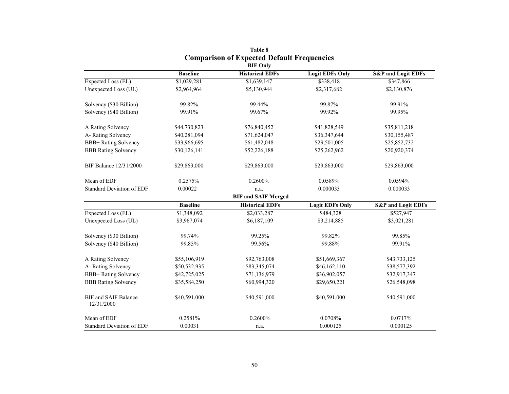|                                           |                 | Comparison of Expected Default Frequencies<br><b>BIF Only</b> |                        |                               |
|-------------------------------------------|-----------------|---------------------------------------------------------------|------------------------|-------------------------------|
|                                           | <b>Baseline</b> | <b>Historical EDFs</b>                                        | <b>Logit EDFs Only</b> | <b>S&amp;P</b> and Logit EDFs |
| Expected Loss (EL)                        | \$1,029,281     | \$1,639,147                                                   | \$338,418              | \$347,866                     |
| Unexpected Loss (UL)                      | \$2,964,964     | \$5,130,944                                                   | \$2,317,682            | \$2,130,876                   |
| Solvency (\$30 Billion)                   | 99.82%          | 99.44%                                                        | 99.87%                 | 99.91%                        |
| Solvency (\$40 Billion)                   | 99.91%          | 99.67%                                                        | 99.92%                 | 99.95%                        |
| A Rating Solvency                         | \$44,730,823    | \$76,840,452                                                  | \$41,828,549           | \$35,811,218                  |
| A-Rating Solvency                         | \$40,281,094    | \$71,624,047                                                  | \$36,347,644           | \$30,155,487                  |
| <b>BBB+</b> Rating Solvency               | \$33,966,695    | \$61,482,048                                                  | \$29,501,005           | \$25,852,732                  |
| <b>BBB Rating Solvency</b>                | \$30,126,141    | \$52,226,188                                                  | \$25,262,962           | \$20,920,374                  |
| BIF Balance 12/31/2000                    | \$29,863,000    | \$29,863,000                                                  | \$29,863,000           | \$29,863,000                  |
| Mean of EDF                               | 0.2575%         | 0.2600%                                                       | 0.0589%                | 0.0594%                       |
| <b>Standard Deviation of EDF</b>          | 0.00022         | n.a.                                                          | 0.000033               | 0.000033                      |
|                                           |                 | <b>BIF and SAIF Merged</b>                                    |                        |                               |
|                                           | <b>Baseline</b> | <b>Historical EDFs</b>                                        | <b>Logit EDFs Only</b> | <b>S&amp;P</b> and Logit EDFs |
| Expected Loss (EL)                        | \$1,348,092     | \$2,033,287                                                   | \$484,328              | \$527,947                     |
| Unexpected Loss (UL)                      | \$3,967,074     | \$6,187,109                                                   | \$3,214,885            | \$3,021,281                   |
| Solvency (\$30 Billion)                   | 99.74%          | 99.25%                                                        | 99.82%                 | 99.85%                        |
| Solvency (\$40 Billion)                   | 99.85%          | 99.56%                                                        | 99.88%                 | 99.91%                        |
| A Rating Solvency                         | \$55,106,919    | \$92,763,008                                                  | \$51,669,367           | \$43,733,125                  |
| A-Rating Solvency                         | \$50,532,935    | \$83,345,074                                                  | \$46,162,110           | \$38,577,392                  |
| <b>BBB+</b> Rating Solvency               | \$42,725,025    | \$71,136,979                                                  | \$36,902,057           | \$32,917,347                  |
| <b>BBB</b> Rating Solvency                | \$35,584,250    | \$60,994,320                                                  | \$29,650,221           | \$26,548,098                  |
| <b>BIF</b> and SAIF Balance<br>12/31/2000 | \$40,591,000    | \$40,591,000                                                  | \$40,591,000           | \$40,591,000                  |
| Mean of EDF                               | 0.2581%         | 0.2600%                                                       | 0.0708%                | 0.0717%                       |
| <b>Standard Deviation of EDF</b>          | 0.00031         | n.a.                                                          | 0.000125               | 0.000125                      |

**Table 8 Comparison of Expected Default Frequencies**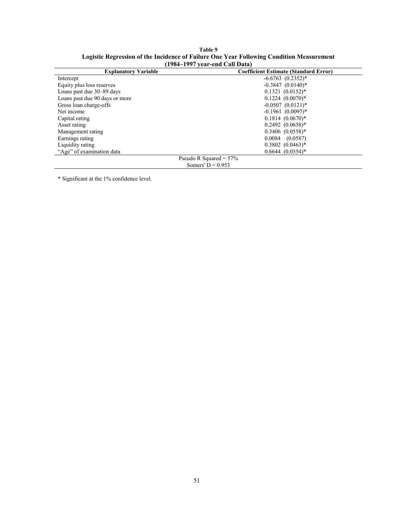| 170 <del>1</del> -1777 year-eng Can Data |                                              |  |  |  |
|------------------------------------------|----------------------------------------------|--|--|--|
| <b>Explanatory Variable</b>              | <b>Coefficient Estimate (Standard Error)</b> |  |  |  |
| Intercept                                | $-6.6763$ $(0.2352)*$                        |  |  |  |
| Equity plus loss reserves                | $-0.3847$ $(0.0140)*$                        |  |  |  |
| Loans past due 30–89 days                | $0.1321 (0.0152)^*$                          |  |  |  |
| Loans past due 90 days or more           | $0.1224$ $(0.0070)*$                         |  |  |  |
| Gross loan charge-offs                   | $-0.0507$ $(0.0121)$ <sup>*</sup>            |  |  |  |
| Net income                               | $-0.1961$ $(0.0097)$ <sup>*</sup>            |  |  |  |
| Capital rating                           | $0.1814$ $(0.0670)*$                         |  |  |  |
| Asset rating                             | $0.2492 (0.0658)^*$                          |  |  |  |
| Management rating                        | $0.3406$ $(0.0558)*$                         |  |  |  |
| Earnings rating                          | $0.0084$ $(0.0587)$                          |  |  |  |
| Liquidity rating                         | $0.3802$ $(0.0463)*$                         |  |  |  |
| "Age" of examination data                | $0.6644 (0.0354)^*$                          |  |  |  |
|                                          | Pseudo R Squared = $57\%$                    |  |  |  |
|                                          | Somers' $D = 0.953$                          |  |  |  |

**Table 9 Logistic Regression of the Incidence of Failure One Year Following Condition Measurement (1984–1997 year-end Call Data)** 

\* Significant at the 1% confidence level.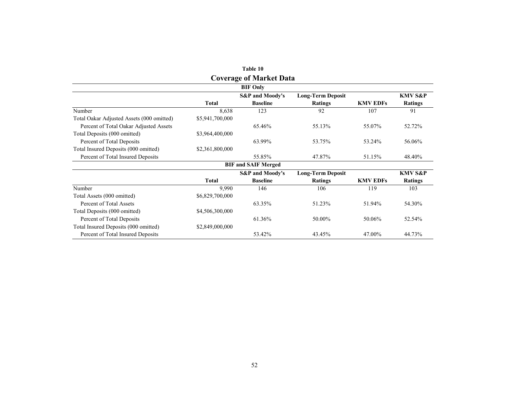|                                           |                 | <b>Coverage of Market Data</b> |                          |                 |                    |
|-------------------------------------------|-----------------|--------------------------------|--------------------------|-----------------|--------------------|
|                                           |                 | <b>BIF Only</b>                |                          |                 |                    |
|                                           |                 | <b>S&amp;P</b> and Moody's     | <b>Long-Term Deposit</b> |                 | <b>KMV S&amp;P</b> |
|                                           | <b>Total</b>    | <b>Baseline</b>                | Ratings                  | <b>KMV EDFs</b> | <b>Ratings</b>     |
| Number                                    | 8,638           | 123                            | 92                       | 107             | 91                 |
| Total Oakar Adjusted Assets (000 omitted) | \$5,941,700,000 |                                |                          |                 |                    |
| Percent of Total Oakar Adjusted Assets    |                 | 65.46%                         | 55.13%                   | 55.07%          | 52.72%             |
| Total Deposits (000 omitted)              | \$3,964,400,000 |                                |                          |                 |                    |
| Percent of Total Deposits                 |                 | 63.99%                         | 53.75%                   | 53.24%          | 56.06%             |
| Total Insured Deposits (000 omitted)      | \$2,361,800,000 |                                |                          |                 |                    |
| Percent of Total Insured Deposits         |                 | 55.85%                         | 47.87%                   | 51.15%          | 48.40%             |
|                                           |                 | <b>BIF and SAIF Merged</b>     |                          |                 |                    |
|                                           |                 | <b>S&amp;P</b> and Moody's     | <b>Long-Term Deposit</b> |                 | <b>KMV S&amp;P</b> |
|                                           | <b>Total</b>    | <b>Baseline</b>                | Ratings                  | <b>KMV EDFs</b> | <b>Ratings</b>     |
| Number                                    | 9,990           | 146                            | 106                      | 119             | 103                |
| Total Assets (000 omitted)                | \$6,829,700,000 |                                |                          |                 |                    |
| Percent of Total Assets                   |                 | 63.35%                         | 51.23%                   | 51.94%          | 54.30%             |
| Total Deposits (000 omitted)              | \$4,506,300,000 |                                |                          |                 |                    |
| Percent of Total Deposits                 |                 | 61.36%                         | 50.00%                   | 50.06%          | 52.54%             |
| Total Insured Deposits (000 omitted)      | \$2,849,000,000 |                                |                          |                 |                    |
| Percent of Total Insured Deposits         |                 | 53.42%                         | 43.45%                   | 47.00%          | 44.73%             |

| Table 10                       |
|--------------------------------|
| <b>Coverage of Market Data</b> |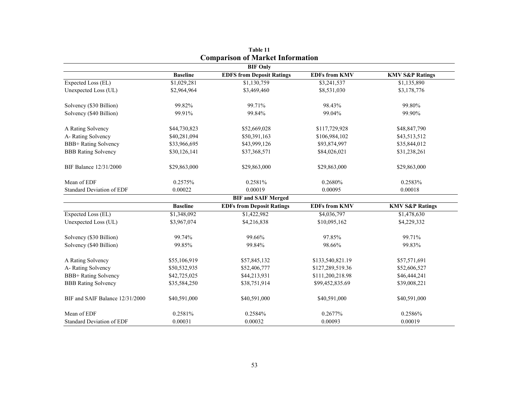|                                  |                 | <b>BIF Only</b>                  |                      |                            |
|----------------------------------|-----------------|----------------------------------|----------------------|----------------------------|
|                                  | <b>Baseline</b> | <b>EDFS from Deposit Ratings</b> | <b>EDFs from KMV</b> | <b>KMV S&amp;P Ratings</b> |
| Expected Loss (EL)               | \$1,029,281     | \$1,130,759                      | \$3,241,537          | \$1,135,890                |
| Unexpected Loss (UL)             | \$2,964,964     | \$3,469,460                      | \$8,531,030          | \$3,178,776                |
| Solvency (\$30 Billion)          | 99.82%          | 99.71%                           | 98.43%               | 99.80%                     |
| Solvency (\$40 Billion)          | 99.91%          | 99.84%                           | 99.04%               | 99.90%                     |
| A Rating Solvency                | \$44,730,823    | \$52,669,028                     | \$117,729,928        | \$48,847,790               |
| A-Rating Solvency                | \$40,281,094    | \$50,391,163                     | \$106,984,102        | \$43,513,512               |
| <b>BBB+</b> Rating Solvency      | \$33,966,695    | \$43,999,126                     | \$93,874,997         | \$35,844,012               |
| <b>BBB Rating Solvency</b>       | \$30,126,141    | \$37,368,571                     | \$84,026,021         | \$31,238,261               |
| BIF Balance 12/31/2000           | \$29,863,000    | \$29,863,000                     | \$29,863,000         | \$29,863,000               |
| Mean of EDF                      | 0.2575%         | 0.2581%                          | 0.2680%              | 0.2583%                    |
| <b>Standard Deviation of EDF</b> | 0.00022         | 0.00019                          | 0.00095              | 0.00018                    |
|                                  |                 | <b>BIF and SAIF Merged</b>       |                      |                            |
|                                  | <b>Baseline</b> | <b>EDFs from Deposit Ratings</b> | <b>EDFs from KMV</b> | <b>KMV S&amp;P Ratings</b> |
| Expected Loss (EL)               | \$1,348,092     | \$1,422,982                      | \$4,036,797          | \$1,478,630                |
| Unexpected Loss (UL)             | \$3,967,074     | \$4,216,838                      | \$10,095,162         | \$4,229,332                |
| Solvency (\$30 Billion)          | 99.74%          | 99.66%                           | 97.85%               | 99.71%                     |
| Solvency (\$40 Billion)          | 99.85%          | 99.84%                           | 98.66%               | 99.83%                     |
| A Rating Solvency                | \$55,106,919    | \$57,845,132                     | \$133,540,821.19     | \$57,571,691               |
| A-Rating Solvency                | \$50,532,935    | \$52,406,777                     | \$127,289,519.36     | \$52,606,527               |
| <b>BBB+</b> Rating Solvency      | \$42,725,025    | \$44,213,931                     | \$111,200,218.98     | \$46,444,241               |
| <b>BBB</b> Rating Solvency       | \$35,584,250    | \$38,751,914                     | \$99,452,835.69      | \$39,008,221               |
| BIF and SAIF Balance 12/31/2000  | \$40,591,000    | \$40,591,000                     | \$40,591,000         | \$40,591,000               |
| Mean of EDF                      | 0.2581%         | 0.2584%                          | 0.2677%              | 0.2586%                    |
| <b>Standard Deviation of EDF</b> | 0.00031         | 0.00032                          | 0.00093              | 0.00019                    |

**Table 11 Comparison of Market Information**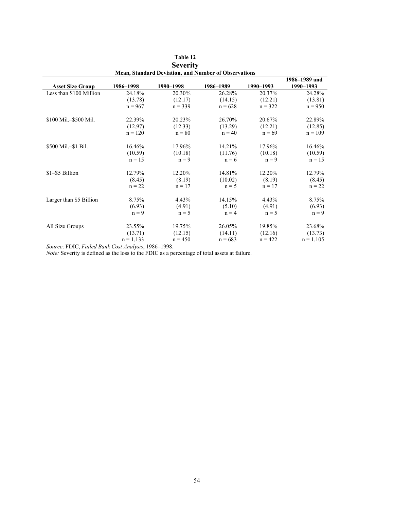| <b>Mean, Standard Deviation, and Number of Observations</b> |             |           |           |           |               |  |  |  |
|-------------------------------------------------------------|-------------|-----------|-----------|-----------|---------------|--|--|--|
|                                                             |             |           |           |           | 1986–1989 and |  |  |  |
| <b>Asset Size Group</b>                                     | 1986-1998   | 1990-1998 | 1986-1989 | 1990-1993 | 1990-1993     |  |  |  |
| Less than \$100 Million                                     | 24.18%      | 20.30%    | 26.28%    | 20.37%    | 24.28%        |  |  |  |
|                                                             | (13.78)     | (12.17)   | (14.15)   | (12.21)   | (13.81)       |  |  |  |
|                                                             | $n = 967$   | $n = 339$ | $n = 628$ | $n = 322$ | $n = 950$     |  |  |  |
| \$100 Mil.-\$500 Mil.                                       | 22.39%      | 20.23%    | 26.70%    | 20.67%    | 22.89%        |  |  |  |
|                                                             | (12.97)     | (12.33)   | (13.29)   | (12.21)   | (12.85)       |  |  |  |
|                                                             | $n = 120$   | $n = 80$  | $n = 40$  | $n = 69$  | $n = 109$     |  |  |  |
| \$500 Mil.-\$1 Bil.                                         | 16.46%      | 17.96%    | 14.21%    | 17.96%    | 16.46%        |  |  |  |
|                                                             | (10.59)     | (10.18)   | (11.76)   | (10.18)   | (10.59)       |  |  |  |
|                                                             | $n = 15$    | $n = 9$   | $n = 6$   | $n = 9$   | $n = 15$      |  |  |  |
| \$1-\$5 Billion                                             | 12.79%      | 12.20%    | 14.81%    | 12.20%    | 12.79%        |  |  |  |
|                                                             | (8.45)      | (8.19)    | (10.02)   | (8.19)    | (8.45)        |  |  |  |
|                                                             | $n = 22$    | $n = 17$  | $n = 5$   | $n = 17$  | $n = 22$      |  |  |  |
| Larger than \$5 Billion                                     | 8.75%       | 4.43%     | 14.15%    | 4.43%     | 8.75%         |  |  |  |
|                                                             | (6.93)      | (4.91)    | (5.10)    | (4.91)    | (6.93)        |  |  |  |
|                                                             | $n = 9$     | $n = 5$   | $n = 4$   | $n = 5$   | $n = 9$       |  |  |  |
| All Size Groups                                             | 23.55%      | 19.75%    | 26.05%    | 19.85%    | 23.68%        |  |  |  |
|                                                             | (13.71)     | (12.15)   | (14.11)   | (12.16)   | (13.73)       |  |  |  |
|                                                             | $n = 1,133$ | $n = 450$ | $n = 683$ | $n = 422$ | $n = 1,105$   |  |  |  |

| Table 12                                                    |
|-------------------------------------------------------------|
| <b>Severity</b>                                             |
| <b>Mean, Standard Deviation, and Number of Observations</b> |

*Source*: FDIC, *Failed Bank Cost Analysis*, 1986–1998.

*Note:* Severity is defined as the loss to the FDIC as a percentage of total assets at failure.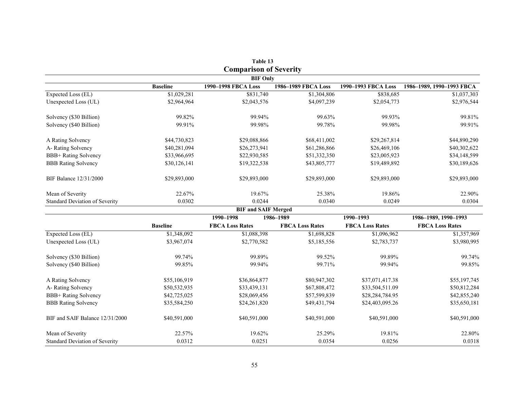|                                       |                 | <b>Comparison of Severity</b> |                        |                        |                           |
|---------------------------------------|-----------------|-------------------------------|------------------------|------------------------|---------------------------|
|                                       |                 | <b>BIF Only</b>               |                        |                        |                           |
|                                       | <b>Baseline</b> | 1990-1998 FBCA Loss           | 1986-1989 FBCA Loss    | 1990-1993 FBCA Loss    | 1986-1989, 1990-1993 FBCA |
| Expected Loss (EL)                    | \$1,029,281     | \$831,740                     | \$1,304,806            | \$838,685              | \$1,037,303               |
| Unexpected Loss (UL)                  | \$2,964,964     | \$2,043,576                   | \$4,097,239            | \$2,054,773            | \$2,976,544               |
| Solvency (\$30 Billion)               | 99.82%          | 99.94%                        | 99.63%                 | 99.93%                 | 99.81%                    |
| Solvency (\$40 Billion)               | 99.91%          | 99.98%                        | 99.78%                 | 99.98%                 | 99.91%                    |
| A Rating Solvency                     | \$44,730,823    | \$29,088,866                  | \$68,411,002           | \$29,267,814           | \$44,890,290              |
| A-Rating Solvency                     | \$40,281,094    | \$26,273,941                  | \$61,286,866           | \$26,469,106           | \$40,302,622              |
| BBB+ Rating Solvency                  | \$33,966,695    | \$22,930,585                  | \$51,332,350           | \$23,005,923           | \$34,148,599              |
| <b>BBB Rating Solvency</b>            | \$30,126,141    | \$19,322,538                  | \$43,805,777           | \$19,489,892           | \$30,189,626              |
| BIF Balance 12/31/2000                | \$29,893,000    | \$29,893,000                  | \$29,893,000           | \$29,893,000           | \$29,893,000              |
| Mean of Severity                      | 22.67%          | 19.67%                        | 25.38%                 | 19.86%                 | 22.90%                    |
| <b>Standard Deviation of Severity</b> | 0.0302          | 0.0244                        | 0.0340                 | 0.0249                 | 0.0304                    |
|                                       |                 | <b>BIF and SAIF Merged</b>    |                        |                        |                           |
|                                       |                 | 1990-1998                     | 1986-1989              | 1990-1993              | 1986-1989, 1990-1993      |
|                                       | <b>Baseline</b> | <b>FBCA Loss Rates</b>        | <b>FBCA Loss Rates</b> | <b>FBCA Loss Rates</b> | <b>FBCA Loss Rates</b>    |
| Expected Loss (EL)                    | \$1,348,092     | \$1,088,398                   | \$1,698,828            | \$1,096,962            | \$1,357,969               |
| Unexpected Loss (UL)                  | \$3,967,074     | \$2,770,582                   | \$5,185,556            | \$2,783,737            | \$3,980,995               |
| Solvency (\$30 Billion)               | 99.74%          | 99.89%                        | 99.52%                 | 99.89%                 | 99.74%                    |
| Solvency (\$40 Billion)               | 99.85%          | 99.94%                        | 99.71%                 | 99.94%                 | 99.85%                    |
| A Rating Solvency                     | \$55,106,919    | \$36,864,877                  | \$80,947,302           | \$37,071,417.38        | \$55,197,745              |
| A-Rating Solvency                     | \$50,532,935    | \$33,439,131                  | \$67,808,472           | \$33,504,511.09        | \$50,812,284              |
| <b>BBB+</b> Rating Solvency           | \$42,725,025    | \$28,069,456                  | \$57,599,839           | \$28,284,784.95        | \$42,855,240              |
| <b>BBB</b> Rating Solvency            | \$35,584,250    | \$24,261,820                  | \$49,431,794           | \$24,403,095.26        | \$35,650,181              |
| BIF and SAIF Balance 12/31/2000       | \$40,591,000    | \$40,591,000                  | \$40,591,000           | \$40,591,000           | \$40,591,000              |
| Mean of Severity                      | 22.57%          | 19.62%                        | 25.29%                 | 19.81%                 | 22.80%                    |
| <b>Standard Deviation of Severity</b> | 0.0312          | 0.0251                        | 0.0354                 | 0.0256                 | 0.0318                    |

| Table 13                     |  |
|------------------------------|--|
| <b>Comparison of Severit</b> |  |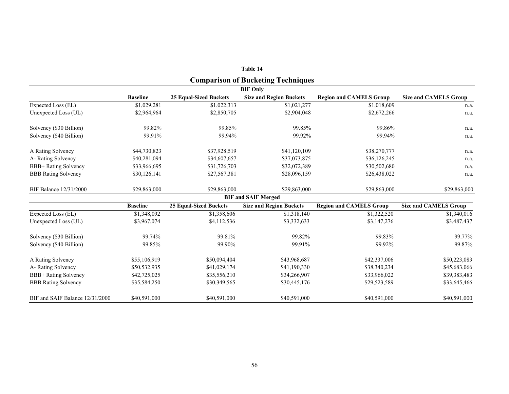|                                 |                 |                               | Table 14                                  |                                |                              |  |  |  |  |  |
|---------------------------------|-----------------|-------------------------------|-------------------------------------------|--------------------------------|------------------------------|--|--|--|--|--|
|                                 |                 |                               | <b>Comparison of Bucketing Techniques</b> |                                |                              |  |  |  |  |  |
| <b>BIF Only</b>                 |                 |                               |                                           |                                |                              |  |  |  |  |  |
|                                 | <b>Baseline</b> | <b>25 Equal-Sized Buckets</b> | <b>Size and Region Buckets</b>            | <b>Region and CAMELS Group</b> | <b>Size and CAMELS Group</b> |  |  |  |  |  |
| Expected Loss (EL)              | \$1,029,281     | \$1,022,313                   | \$1,021,277                               | \$1,018,609                    | n.a.                         |  |  |  |  |  |
| Unexpected Loss (UL)            | \$2,964,964     | \$2,850,705                   | \$2,904,048                               | \$2,672,266                    | n.a.                         |  |  |  |  |  |
| Solvency (\$30 Billion)         | 99.82%          | 99.85%                        | 99.85%                                    | 99.86%                         | n.a.                         |  |  |  |  |  |
| Solvency (\$40 Billion)         | 99.91%          | 99.94%                        | 99.92%                                    | 99.94%                         | n.a.                         |  |  |  |  |  |
| A Rating Solvency               | \$44,730,823    | \$37,928,519                  | \$41,120,109                              | \$38,270,777                   | n.a.                         |  |  |  |  |  |
| A-Rating Solvency               | \$40,281,094    | \$34,607,657                  | \$37,073,875                              | \$36,126,245                   | n.a.                         |  |  |  |  |  |
| <b>BBB+</b> Rating Solvency     | \$33,966,695    | \$31,726,703                  | \$32,072,389                              | \$30,502,680                   | n.a.                         |  |  |  |  |  |
| <b>BBB Rating Solvency</b>      | \$30,126,141    | \$27,567,381                  | \$28,096,159                              | \$26,438,022                   | n.a.                         |  |  |  |  |  |
| <b>BIF Balance 12/31/2000</b>   | \$29,863,000    | \$29,863,000                  | \$29,863,000                              | \$29,863,000                   | \$29,863,000                 |  |  |  |  |  |
|                                 |                 |                               | <b>BIF and SAIF Merged</b>                |                                |                              |  |  |  |  |  |
|                                 | <b>Baseline</b> | <b>25 Equal-Sized Buckets</b> | <b>Size and Region Buckets</b>            | <b>Region and CAMELS Group</b> | <b>Size and CAMELS Group</b> |  |  |  |  |  |
| Expected Loss (EL)              | \$1,348,092     | \$1,358,606                   | \$1,318,140                               | \$1,322,520                    | \$1,340,016                  |  |  |  |  |  |
| Unexpected Loss (UL)            | \$3,967,074     | \$4,112,536                   | \$3,332,633                               | \$3,147,276                    | \$3,487,437                  |  |  |  |  |  |
| Solvency (\$30 Billion)         | 99.74%          | 99.81%                        | 99.82%                                    | 99.83%                         | 99.77%                       |  |  |  |  |  |
| Solvency (\$40 Billion)         | 99.85%          | 99.90%                        | 99.91%                                    | 99.92%                         | 99.87%                       |  |  |  |  |  |
| A Rating Solvency               | \$55,106,919    | \$50,094,404                  | \$43,968,687                              | \$42,337,006                   | \$50,223,083                 |  |  |  |  |  |
| A-Rating Solvency               | \$50,532,935    | \$41,029,174                  | \$41,190,330                              | \$38,340,234                   | \$45,683,066                 |  |  |  |  |  |
| <b>BBB+</b> Rating Solvency     | \$42,725,025    | \$35,556,210                  | \$34,266,907                              | \$33,966,022                   | \$39,383,483                 |  |  |  |  |  |
| <b>BBB</b> Rating Solvency      | \$35,584,250    | \$30,349,565                  | \$30,445,176                              | \$29,523,589                   | \$33,645,466                 |  |  |  |  |  |
| BIF and SAIF Balance 12/31/2000 | \$40,591,000    | \$40,591,000                  | \$40,591,000                              | \$40,591,000                   | \$40,591,000                 |  |  |  |  |  |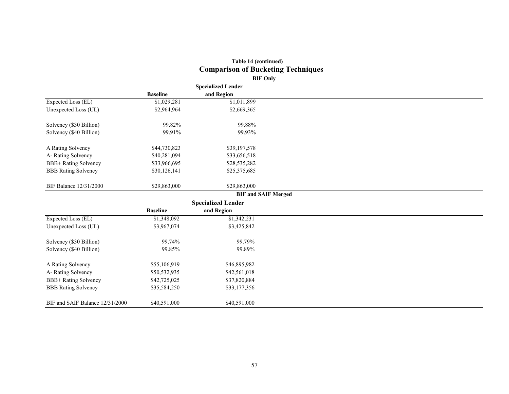|                                 |                 | <b>Comparison of Bucketing Techniques</b> |                 |
|---------------------------------|-----------------|-------------------------------------------|-----------------|
|                                 |                 |                                           | <b>BIF Only</b> |
|                                 |                 | <b>Specialized Lender</b>                 |                 |
|                                 | <b>Baseline</b> | and Region                                |                 |
| Expected Loss (EL)              | \$1,029,281     | \$1,011,899                               |                 |
| Unexpected Loss (UL)            | \$2,964,964     | \$2,669,365                               |                 |
| Solvency (\$30 Billion)         | 99.82%          | 99.88%                                    |                 |
| Solvency (\$40 Billion)         | 99.91%          | 99.93%                                    |                 |
| A Rating Solvency               | \$44,730,823    | \$39,197,578                              |                 |
| A-Rating Solvency               | \$40,281,094    | \$33,656,518                              |                 |
| BBB+ Rating Solvency            | \$33,966,695    | \$28,535,282                              |                 |
| <b>BBB Rating Solvency</b>      | \$30,126,141    | \$25,375,685                              |                 |
| BIF Balance 12/31/2000          | \$29,863,000    | \$29,863,000                              |                 |
|                                 |                 | <b>BIF and SAIF Merged</b>                |                 |
|                                 |                 | <b>Specialized Lender</b>                 |                 |
|                                 | <b>Baseline</b> | and Region                                |                 |
| Expected Loss (EL)              | \$1,348,092     | \$1,342,231                               |                 |
| Unexpected Loss (UL)            | \$3,967,074     | \$3,425,842                               |                 |
| Solvency (\$30 Billion)         | 99.74%          | 99.79%                                    |                 |
| Solvency (\$40 Billion)         | 99.85%          | 99.89%                                    |                 |
| A Rating Solvency               | \$55,106,919    | \$46,895,982                              |                 |
| A-Rating Solvency               | \$50,532,935    | \$42,561,018                              |                 |
| BBB+ Rating Solvency            | \$42,725,025    | \$37,820,884                              |                 |
| <b>BBB Rating Solvency</b>      | \$35,584,250    | \$33,177,356                              |                 |
| BIF and SAIF Balance 12/31/2000 | \$40,591,000    | \$40,591,000                              |                 |

| Table 14 (continued)                      |
|-------------------------------------------|
| <b>Comparison of Bucketing Techniques</b> |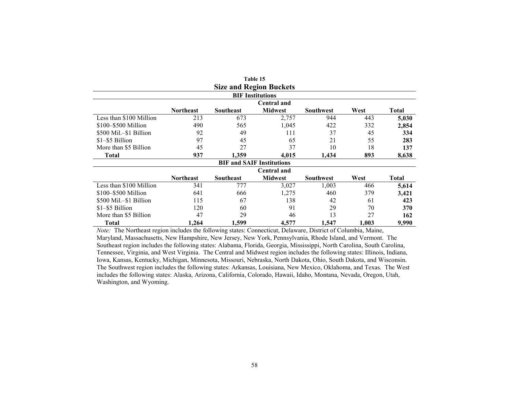|                         |                         |           | <b>Size and Region Buckets</b>   |                  |       |       |  |  |  |
|-------------------------|-------------------------|-----------|----------------------------------|------------------|-------|-------|--|--|--|
|                         | <b>BIF</b> Institutions |           |                                  |                  |       |       |  |  |  |
| <b>Central and</b>      |                         |           |                                  |                  |       |       |  |  |  |
|                         | <b>Northeast</b>        | Southeast | <b>Midwest</b>                   | <b>Southwest</b> | West  | Total |  |  |  |
| Less than \$100 Million | 213                     | 673       | 2,757                            | 944              | 443   | 5,030 |  |  |  |
| $$100 - $500$ Million   | 490                     | 565       | 1,045                            | 422              | 332   | 2,854 |  |  |  |
| \$500 Mil.-\$1 Billion  | 92                      | 49        | 111                              | 37               | 45    | 334   |  |  |  |
| \$1-\$5 Billion         | 97                      | 45        | 65                               | 21               | 55    | 283   |  |  |  |
| More than \$5 Billion   | 45                      | 27        | 37                               | 10               | 18    | 137   |  |  |  |
| Total                   | 937                     | 1,359     | 4,015                            | 1,434            | 893   | 8,638 |  |  |  |
|                         |                         |           | <b>BIF and SAIF Institutions</b> |                  |       |       |  |  |  |
|                         |                         |           | <b>Central and</b>               |                  |       |       |  |  |  |
|                         | <b>Northeast</b>        | Southeast | <b>Midwest</b>                   | <b>Southwest</b> | West  | Total |  |  |  |
| Less than \$100 Million | 341                     | 777       | 3,027                            | 1,003            | 466   | 5,614 |  |  |  |
| \$100-\$500 Million     | 641                     | 666       | 1,275                            | 460              | 379   | 3,421 |  |  |  |
| \$500 Mil.-\$1 Billion  | 115                     | 67        | 138                              | 42               | 61    | 423   |  |  |  |
| \$1-\$5 Billion         | 120                     | 60        | 91                               | 29               | 70    | 370   |  |  |  |
| More than \$5 Billion   | 47                      | 29        | 46                               | 13               | 27    | 162   |  |  |  |
| <b>Total</b>            | 1,264                   | 1,599     | 4,577                            | 1,547            | 1,003 | 9,990 |  |  |  |

**Table 15** 

*Note:* The Northeast region includes the following states: Connecticut, Delaware, District of Columbia, Maine, Maryland, Massachusetts, New Hampshire, New Jersey, New York, Pennsylvania, Rhode Island, and Vermont. The Southeast region includes the following states: Alabama, Florida, Georgia, Mississippi, North Carolina, South Carolina, Tennessee, Virginia, and West Virginia. The Central and Midwest region includes the following states: Illinois, Indiana, Iowa, Kansas, Kentucky, Michigan, Minnesota, Missouri, Nebraska, North Dakota, Ohio, South Dakota, and Wisconsin. The Southwest region includes the following states: Arkansas, Louisiana, New Mexico, Oklahoma, and Texas. The West includes the following states: Alaska, Arizona, California, Colorado, Hawaii, Idaho, Montana, Nevada, Oregon, Utah, Washington, and Wyoming.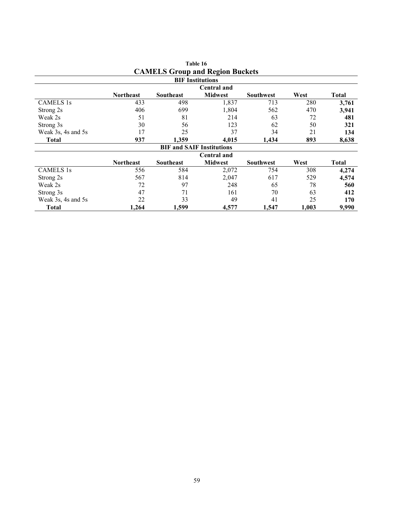|                    |                  |           | <b>CAMELS Group and Region Buckets</b> |                  |       |              |
|--------------------|------------------|-----------|----------------------------------------|------------------|-------|--------------|
|                    |                  |           | <b>BIF</b> Institutions                |                  |       |              |
|                    |                  |           | <b>Central and</b>                     |                  |       |              |
|                    | <b>Northeast</b> | Southeast | <b>Midwest</b>                         | <b>Southwest</b> | West  | <b>Total</b> |
| <b>CAMELS 1s</b>   | 433              | 498       | 1,837                                  | 713              | 280   | 3,761        |
| Strong 2s          | 406              | 699       | 1,804                                  | 562              | 470   | 3,941        |
| Weak 2s            | 51               | 81        | 214                                    | 63               | 72    | 481          |
| Strong 3s          | 30               | 56        | 123                                    | 62               | 50    | 321          |
| Weak 3s, 4s and 5s | 17               | 25        | 37                                     | 34               | 21    | 134          |
| <b>Total</b>       | 937              | 1,359     | 4,015                                  | 1,434            | 893   | 8,638        |
|                    |                  |           | <b>BIF and SAIF Institutions</b>       |                  |       |              |
|                    |                  |           | <b>Central and</b>                     |                  |       |              |
|                    | <b>Northeast</b> | Southeast | <b>Midwest</b>                         | <b>Southwest</b> | West  | <b>Total</b> |
| <b>CAMELS 1s</b>   | 556              | 584       | 2,072                                  | 754              | 308   | 4,274        |
| Strong 2s          | 567              | 814       | 2,047                                  | 617              | 529   | 4,574        |
| Weak 2s            | 72               | 97        | 248                                    | 65               | 78    | 560          |
| Strong 3s          | 47               | 71        | 161                                    | 70               | 63    | 412          |
| Weak 3s, 4s and 5s | 22               | 33        | 49                                     | 41               | 25    | 170          |
| <b>Total</b>       | 1,264            | 1,599     | 4,577                                  | 1,547            | 1,003 | 9,990        |

| Table 16                               |  |  |  |  |  |  |  |
|----------------------------------------|--|--|--|--|--|--|--|
| <b>CAMELS Group and Region Buckets</b> |  |  |  |  |  |  |  |
|                                        |  |  |  |  |  |  |  |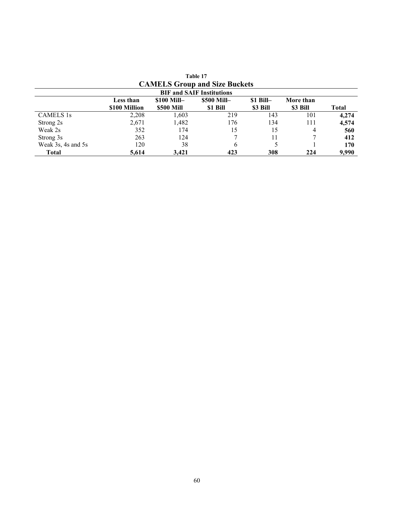|                                  | <b>CAMELS Group and Size Buckets</b> |                   |             |            |           |       |  |
|----------------------------------|--------------------------------------|-------------------|-------------|------------|-----------|-------|--|
| <b>BIF and SAIF Institutions</b> |                                      |                   |             |            |           |       |  |
|                                  | Less than                            | $$100$ Mill-      | \$500 Mill- | $$1$ Bill- | More than |       |  |
|                                  | \$100 Million                        | <b>\$500 Mill</b> | \$1 Bill    | \$3 Bill   | \$3 Bill  | Total |  |
| <b>CAMELS</b> 1s                 | 2,208                                | 1,603             | 219         | 143        | 101       | 4.274 |  |
| Strong 2s                        | 2,671                                | 1,482             | 176         | 134        | 111       | 4,574 |  |
| Weak 2s                          | 352                                  | 174               | 15          | 15         | 4         | 560   |  |
| Strong 3s                        | 263                                  | 124               |             |            |           | 412   |  |
| Weak 3s, 4s and 5s               | 120                                  | 38                | 6           |            |           | 170   |  |
| Total                            | 5.614                                | 3.421             | 423         | 308        | 224       | 9,990 |  |

| Table 17 |                                      |  |  |  |  |  |  |
|----------|--------------------------------------|--|--|--|--|--|--|
|          | <b>CAMELS Group and Size Buckets</b> |  |  |  |  |  |  |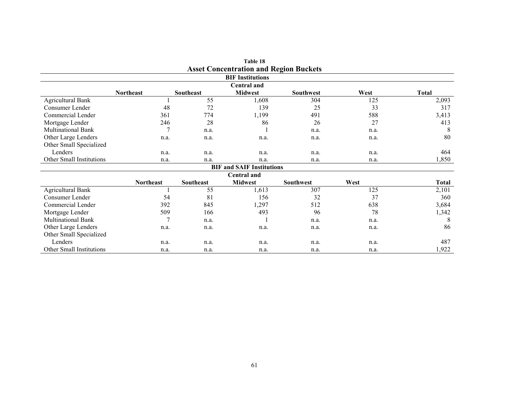| Table 18<br><b>Asset Concentration and Region Buckets</b><br><b>BIF Institutions</b> |                  |           |                |                  |      |              |  |  |                    |                  |           |                |                  |      |              |  |  |
|--------------------------------------------------------------------------------------|------------------|-----------|----------------|------------------|------|--------------|--|--|--------------------|------------------|-----------|----------------|------------------|------|--------------|--|--|
|                                                                                      |                  |           |                |                  |      |              |  |  | <b>Central and</b> |                  |           |                |                  |      |              |  |  |
|                                                                                      |                  |           |                |                  |      |              |  |  |                    | <b>Northeast</b> | Southeast | <b>Midwest</b> | <b>Southwest</b> | West | <b>Total</b> |  |  |
| <b>Agricultural Bank</b>                                                             |                  | 55        | ,608           | 304              | 125  | 2,093        |  |  |                    |                  |           |                |                  |      |              |  |  |
| Consumer Lender                                                                      | 48               | 72        | 139            | 25               | 33   | 317          |  |  |                    |                  |           |                |                  |      |              |  |  |
| Commercial Lender                                                                    | 361              | 774       | 1,199          | 491              | 588  | 3,413        |  |  |                    |                  |           |                |                  |      |              |  |  |
| Mortgage Lender                                                                      | 246              | 28        | 86             | 26               | 27   | 413          |  |  |                    |                  |           |                |                  |      |              |  |  |
| <b>Multinational Bank</b>                                                            | 7                | n.a.      |                | n.a.             | n.a. | 8            |  |  |                    |                  |           |                |                  |      |              |  |  |
| Other Large Lenders                                                                  | n.a.             | n.a.      | n.a.           | n.a.             | n.a. | 80           |  |  |                    |                  |           |                |                  |      |              |  |  |
| Other Small Specialized                                                              |                  |           |                |                  |      |              |  |  |                    |                  |           |                |                  |      |              |  |  |
| Lenders                                                                              | n.a.             | n.a.      | n.a.           | n.a.             | n.a. | 464          |  |  |                    |                  |           |                |                  |      |              |  |  |
| Other Small Institutions                                                             | n.a.             | n.a.      | n.a.           | n.a.             | n.a. | 1,850        |  |  |                    |                  |           |                |                  |      |              |  |  |
| <b>BIF and SAIF Institutions</b>                                                     |                  |           |                |                  |      |              |  |  |                    |                  |           |                |                  |      |              |  |  |
|                                                                                      |                  |           | Central and    |                  |      |              |  |  |                    |                  |           |                |                  |      |              |  |  |
|                                                                                      | <b>Northeast</b> | Southeast | <b>Midwest</b> | <b>Southwest</b> | West | <b>Total</b> |  |  |                    |                  |           |                |                  |      |              |  |  |
| <b>Agricultural Bank</b>                                                             |                  | 55        | 1,613          | 307              | 125  | 2,101        |  |  |                    |                  |           |                |                  |      |              |  |  |
| Consumer Lender                                                                      | 54               | 81        | 156            | 32               | 37   | 360          |  |  |                    |                  |           |                |                  |      |              |  |  |
| Commercial Lender                                                                    | 392              | 845       | 1,297          | 512              | 638  | 3,684        |  |  |                    |                  |           |                |                  |      |              |  |  |
| Mortgage Lender                                                                      | 509              | 166       | 493            | 96               | 78   | 1,342        |  |  |                    |                  |           |                |                  |      |              |  |  |
| <b>Multinational Bank</b>                                                            | 7                | n.a.      |                | n.a.             | n.a. | 8            |  |  |                    |                  |           |                |                  |      |              |  |  |
| Other Large Lenders                                                                  | n.a.             | n.a.      | n.a.           | n.a.             | n.a. | 86           |  |  |                    |                  |           |                |                  |      |              |  |  |
| Other Small Specialized                                                              |                  |           |                |                  |      |              |  |  |                    |                  |           |                |                  |      |              |  |  |
| Lenders                                                                              | n.a.             | n.a.      | n.a.           | n.a.             | n.a. | 487          |  |  |                    |                  |           |                |                  |      |              |  |  |
| Other Small Institutions                                                             | n.a.             | n.a.      | n.a.           | n.a.             | n.a. | 1,922        |  |  |                    |                  |           |                |                  |      |              |  |  |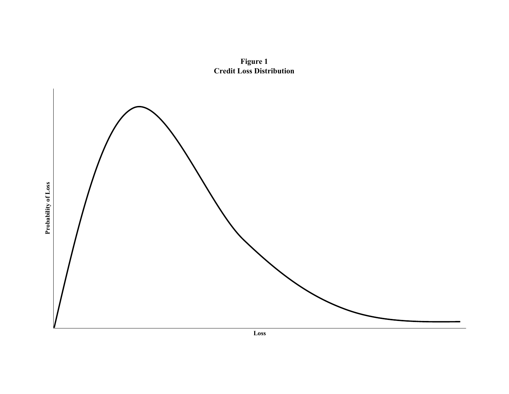

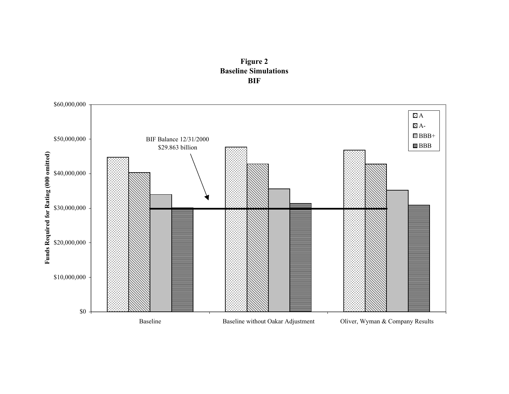

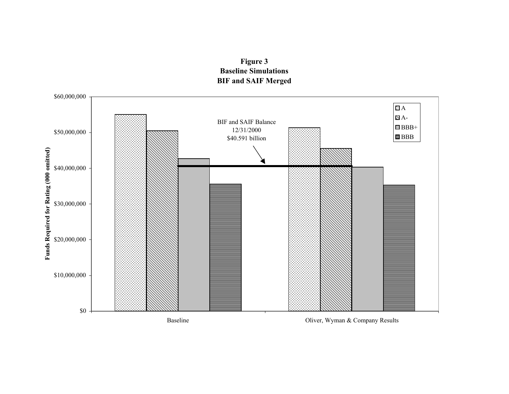

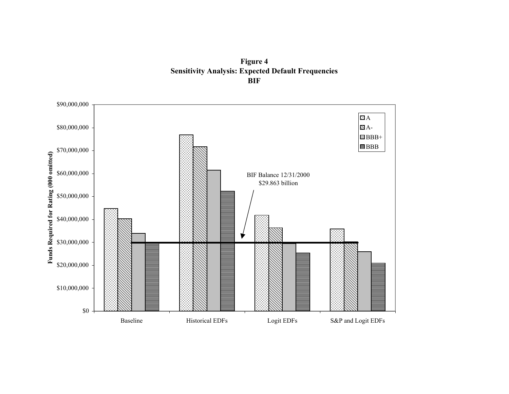**Figure 4 Sensitivity Analysis: Expected Default Frequencies BIF** 

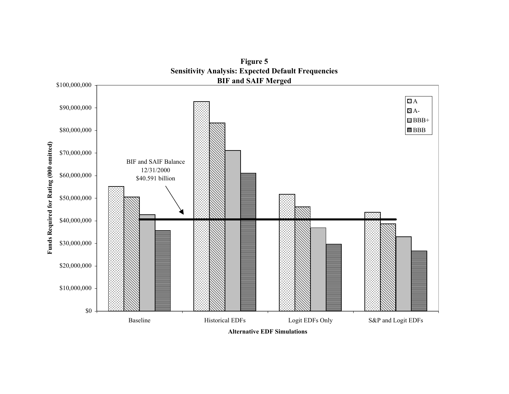

**Figure 5** 

**Alternative EDF Simulations**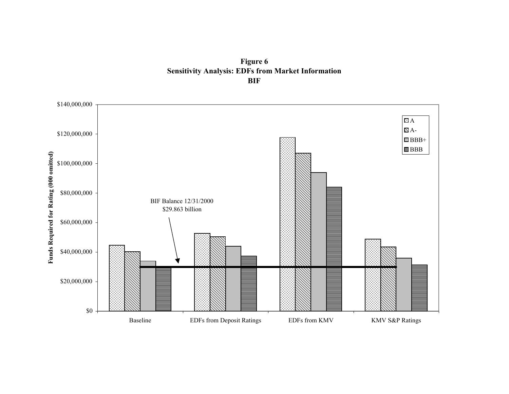**Figure 6 Sensitivity Analysis: EDFs from Market Information BIF** 

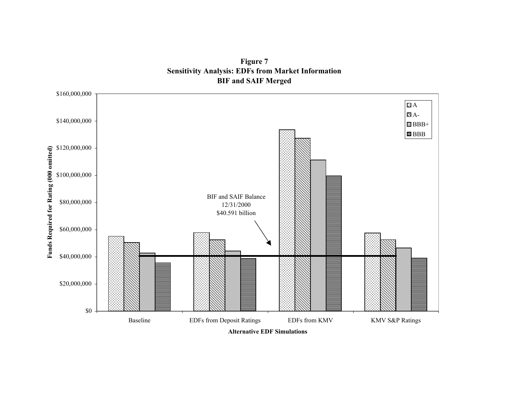**Figure 7 Sensitivity Analysis: EDFs from Market Information BIF and SAIF Merged** 

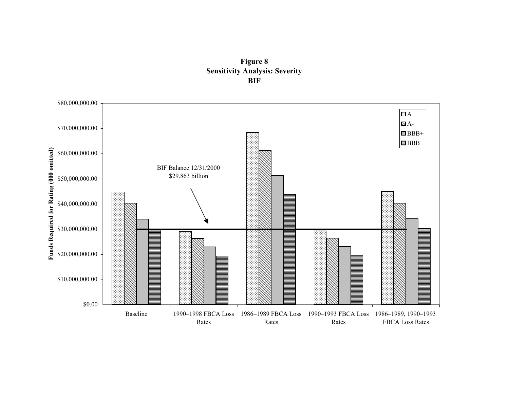

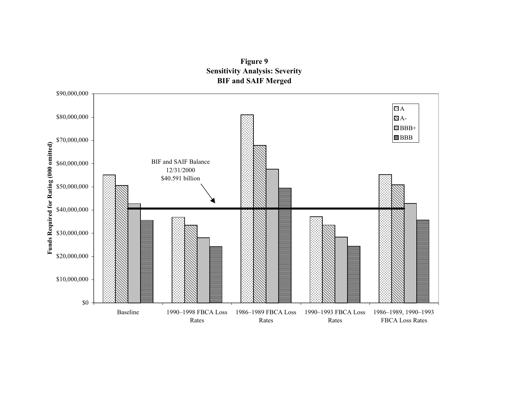

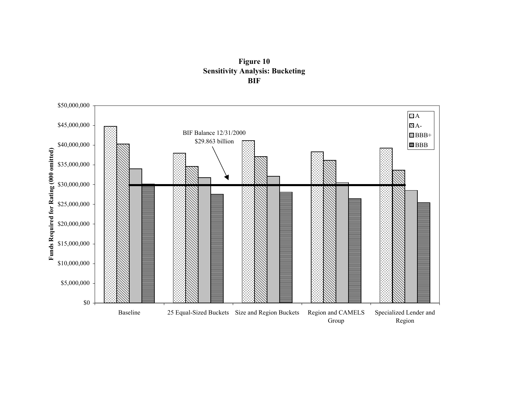